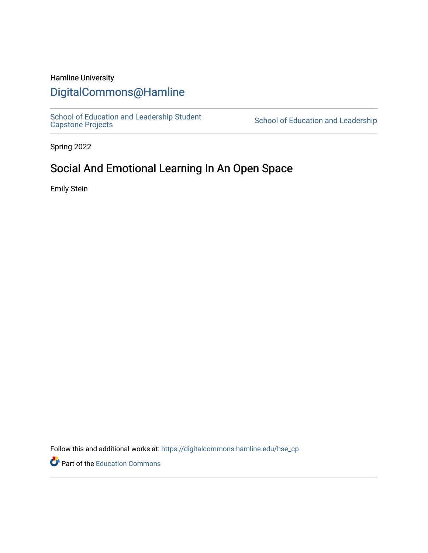# Hamline University

# [DigitalCommons@Hamline](https://digitalcommons.hamline.edu/)

[School of Education and Leadership Student](https://digitalcommons.hamline.edu/hse_cp)<br>Capstone Projects

School of Education and Leadership

Spring 2022

# Social And Emotional Learning In An Open Space

Emily Stein

Follow this and additional works at: [https://digitalcommons.hamline.edu/hse\\_cp](https://digitalcommons.hamline.edu/hse_cp?utm_source=digitalcommons.hamline.edu%2Fhse_cp%2F812&utm_medium=PDF&utm_campaign=PDFCoverPages) 

Part of the [Education Commons](https://network.bepress.com/hgg/discipline/784?utm_source=digitalcommons.hamline.edu%2Fhse_cp%2F812&utm_medium=PDF&utm_campaign=PDFCoverPages)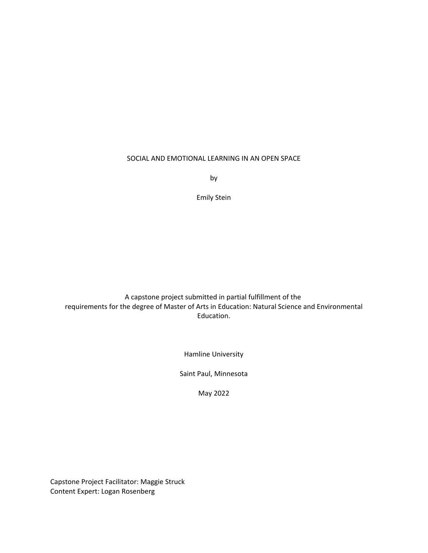# SOCIAL AND EMOTIONAL LEARNING IN AN OPEN SPACE

by

Emily Stein

A capstone project submitted in partial fulfillment of the requirements for the degree of Master of Arts in Education: Natural Science and Environmental Education.

Hamline University

Saint Paul, Minnesota

May 2022

Capstone Project Facilitator: Maggie Struck Content Expert: Logan Rosenberg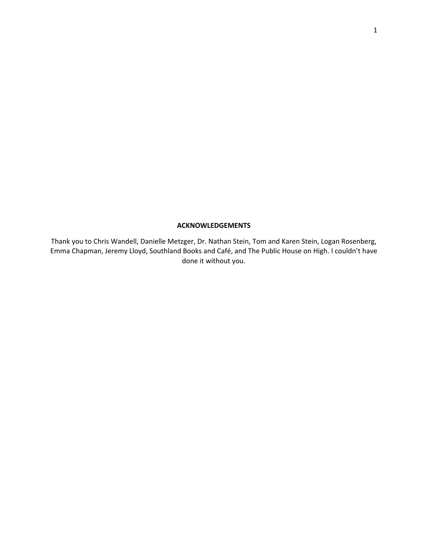# **ACKNOWLEDGEMENTS**

Thank you to Chris Wandell, Danielle Metzger, Dr. Nathan Stein, Tom and Karen Stein, Logan Rosenberg, Emma Chapman, Jeremy Lloyd, Southland Books and Café, and The Public House on High. I couldn't have done it without you.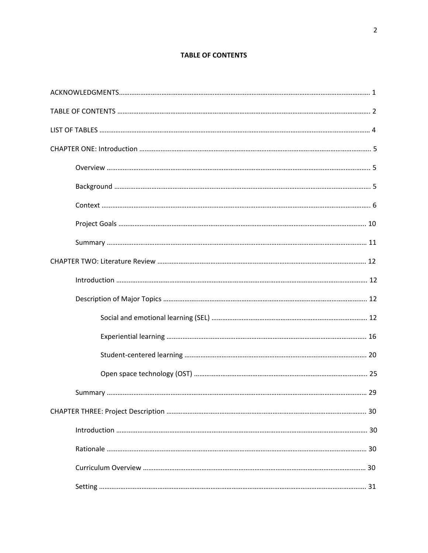# **TABLE OF CONTENTS**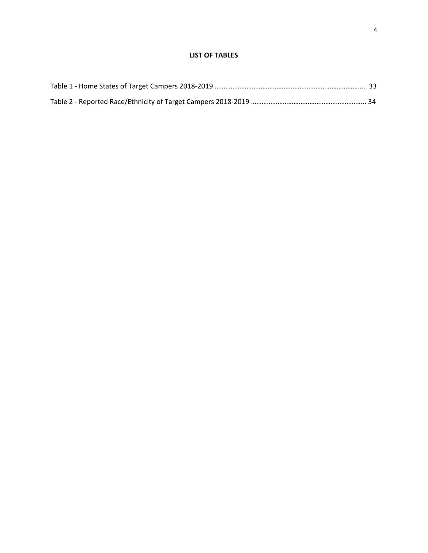# **LIST OF TABLES**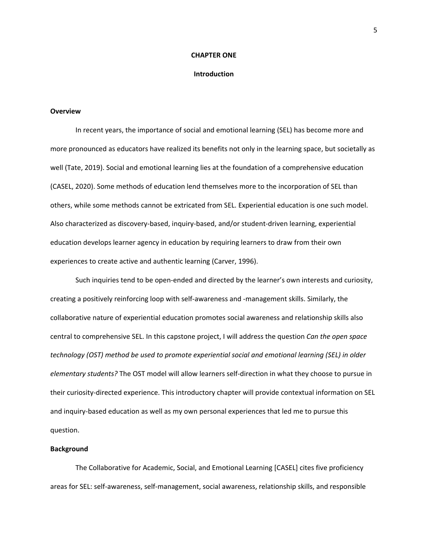#### **CHAPTER ONE**

# **Introduction**

# **Overview**

In recent years, the importance of social and emotional learning (SEL) has become more and more pronounced as educators have realized its benefits not only in the learning space, but societally as well (Tate, 2019). Social and emotional learning lies at the foundation of a comprehensive education (CASEL, 2020). Some methods of education lend themselves more to the incorporation of SEL than others, while some methods cannot be extricated from SEL. Experiential education is one such model. Also characterized as discovery‐based, inquiry‐based, and/or student‐driven learning, experiential education develops learner agency in education by requiring learners to draw from their own experiences to create active and authentic learning (Carver, 1996).

Such inquiries tend to be open-ended and directed by the learner's own interests and curiosity, creating a positively reinforcing loop with self‐awareness and ‐management skills. Similarly, the collaborative nature of experiential education promotes social awareness and relationship skills also central to comprehensive SEL. In this capstone project, I will address the question *Can the open space technology (OST) method be used to promote experiential social and emotional learning (SEL) in older elementary students?* The OST model will allow learners self‐direction in what they choose to pursue in their curiosity‐directed experience. This introductory chapter will provide contextual information on SEL and inquiry-based education as well as my own personal experiences that led me to pursue this question.

# **Background**

The Collaborative for Academic, Social, and Emotional Learning [CASEL] cites five proficiency areas for SEL: self‐awareness, self‐management, social awareness, relationship skills, and responsible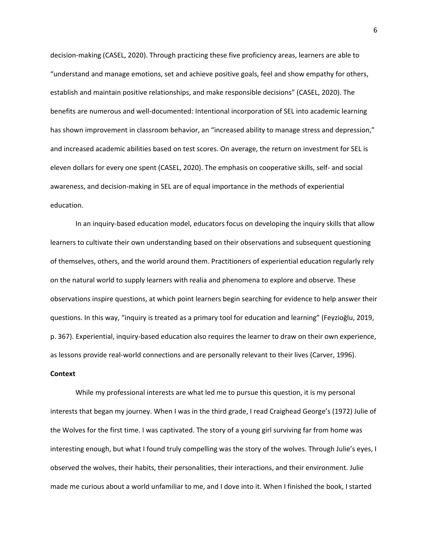decision‐making (CASEL, 2020). Through practicing these five proficiency areas, learners are able to "understand and manage emotions, set and achieve positive goals, feel and show empathy for others, establish and maintain positive relationships, and make responsible decisions" (CASEL, 2020). The benefits are numerous and well‐documented: Intentional incorporation of SEL into academic learning has shown improvement in classroom behavior, an "increased ability to manage stress and depression," and increased academic abilities based on test scores. On average, the return on investment for SEL is eleven dollars for every one spent (CASEL, 2020). The emphasis on cooperative skills, self‐ and social awareness, and decision‐making in SEL are of equal importance in the methods of experiential education.

In an inquiry‐based education model, educators focus on developing the inquiry skills that allow learners to cultivate their own understanding based on their observations and subsequent questioning of themselves, others, and the world around them. Practitioners of experiential education regularly rely on the natural world to supply learners with realia and phenomena to explore and observe. These observations inspire questions, at which point learners begin searching for evidence to help answer their questions. In this way, "inquiry is treated as a primary tool for education and learning" (Feyzioğlu, 2019, p. 367). Experiential, inquiry‐based education also requires the learner to draw on their own experience, as lessons provide real‐world connections and are personally relevant to their lives (Carver, 1996).

# **Context**

While my professional interests are what led me to pursue this question, it is my personal interests that began my journey. When I was in the third grade, I read Craighead George's (1972) Julie of the Wolves for the first time. I was captivated. The story of a young girl surviving far from home was interesting enough, but what I found truly compelling was the story of the wolves. Through Julie's eyes, I observed the wolves, their habits, their personalities, their interactions, and their environment. Julie made me curious about a world unfamiliar to me, and I dove into it. When I finished the book, I started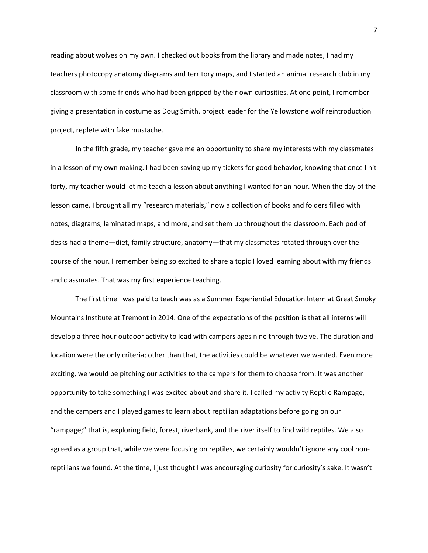reading about wolves on my own. I checked out books from the library and made notes, I had my teachers photocopy anatomy diagrams and territory maps, and I started an animal research club in my classroom with some friends who had been gripped by their own curiosities. At one point, I remember giving a presentation in costume as Doug Smith, project leader for the Yellowstone wolf reintroduction project, replete with fake mustache.

In the fifth grade, my teacher gave me an opportunity to share my interests with my classmates in a lesson of my own making. I had been saving up my tickets for good behavior, knowing that once I hit forty, my teacher would let me teach a lesson about anything I wanted for an hour. When the day of the lesson came, I brought all my "research materials," now a collection of books and folders filled with notes, diagrams, laminated maps, and more, and set them up throughout the classroom. Each pod of desks had a theme—diet, family structure, anatomy—that my classmates rotated through over the course of the hour. I remember being so excited to share a topic I loved learning about with my friends and classmates. That was my first experience teaching.

The first time I was paid to teach was as a Summer Experiential Education Intern at Great Smoky Mountains Institute at Tremont in 2014. One of the expectations of the position is that all interns will develop a three‐hour outdoor activity to lead with campers ages nine through twelve. The duration and location were the only criteria; other than that, the activities could be whatever we wanted. Even more exciting, we would be pitching our activities to the campers for them to choose from. It was another opportunity to take something I was excited about and share it. I called my activity Reptile Rampage, and the campers and I played games to learn about reptilian adaptations before going on our "rampage;" that is, exploring field, forest, riverbank, and the river itself to find wild reptiles. We also agreed as a group that, while we were focusing on reptiles, we certainly wouldn't ignore any cool nonreptilians we found. At the time, I just thought I was encouraging curiosity for curiosity's sake. It wasn't

7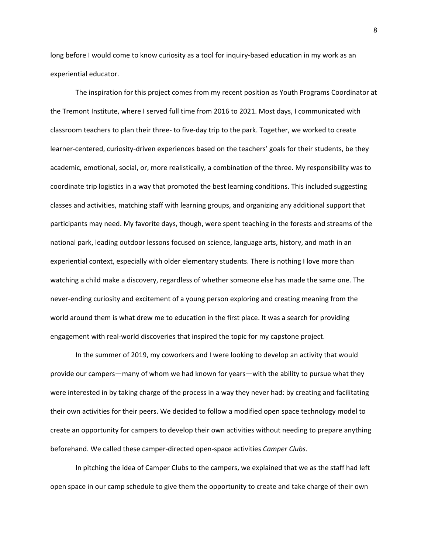long before I would come to know curiosity as a tool for inquiry‐based education in my work as an experiential educator.

The inspiration for this project comes from my recent position as Youth Programs Coordinator at the Tremont Institute, where I served full time from 2016 to 2021. Most days, I communicated with classroom teachers to plan their three‐ to five‐day trip to the park. Together, we worked to create learner-centered, curiosity-driven experiences based on the teachers' goals for their students, be they academic, emotional, social, or, more realistically, a combination of the three. My responsibility was to coordinate trip logistics in a way that promoted the best learning conditions. This included suggesting classes and activities, matching staff with learning groups, and organizing any additional support that participants may need. My favorite days, though, were spent teaching in the forests and streams of the national park, leading outdoor lessons focused on science, language arts, history, and math in an experiential context, especially with older elementary students. There is nothing I love more than watching a child make a discovery, regardless of whether someone else has made the same one. The never‐ending curiosity and excitement of a young person exploring and creating meaning from the world around them is what drew me to education in the first place. It was a search for providing engagement with real‐world discoveries that inspired the topic for my capstone project.

In the summer of 2019, my coworkers and I were looking to develop an activity that would provide our campers—many of whom we had known for years—with the ability to pursue what they were interested in by taking charge of the process in a way they never had: by creating and facilitating their own activities for their peers. We decided to follow a modified open space technology model to create an opportunity for campers to develop their own activities without needing to prepare anything beforehand. We called these camper‐directed open‐space activities *Camper Clubs*.

In pitching the idea of Camper Clubs to the campers, we explained that we as the staff had left open space in our camp schedule to give them the opportunity to create and take charge of their own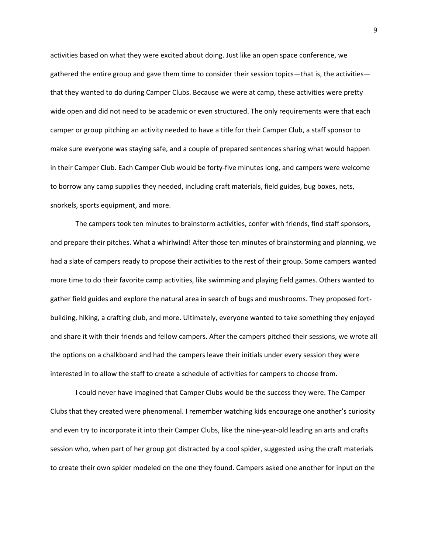activities based on what they were excited about doing. Just like an open space conference, we gathered the entire group and gave them time to consider their session topics—that is, the activities that they wanted to do during Camper Clubs. Because we were at camp, these activities were pretty wide open and did not need to be academic or even structured. The only requirements were that each camper or group pitching an activity needed to have a title for their Camper Club, a staff sponsor to make sure everyone was staying safe, and a couple of prepared sentences sharing what would happen in their Camper Club. Each Camper Club would be forty‐five minutes long, and campers were welcome to borrow any camp supplies they needed, including craft materials, field guides, bug boxes, nets, snorkels, sports equipment, and more.

The campers took ten minutes to brainstorm activities, confer with friends, find staff sponsors, and prepare their pitches. What a whirlwind! After those ten minutes of brainstorming and planning, we had a slate of campers ready to propose their activities to the rest of their group. Some campers wanted more time to do their favorite camp activities, like swimming and playing field games. Others wanted to gather field guides and explore the natural area in search of bugs and mushrooms. They proposed fort‐ building, hiking, a crafting club, and more. Ultimately, everyone wanted to take something they enjoyed and share it with their friends and fellow campers. After the campers pitched their sessions, we wrote all the options on a chalkboard and had the campers leave their initials under every session they were interested in to allow the staff to create a schedule of activities for campers to choose from.

I could never have imagined that Camper Clubs would be the success they were. The Camper Clubs that they created were phenomenal. I remember watching kids encourage one another's curiosity and even try to incorporate it into their Camper Clubs, like the nine-year-old leading an arts and crafts session who, when part of her group got distracted by a cool spider, suggested using the craft materials to create their own spider modeled on the one they found. Campers asked one another for input on the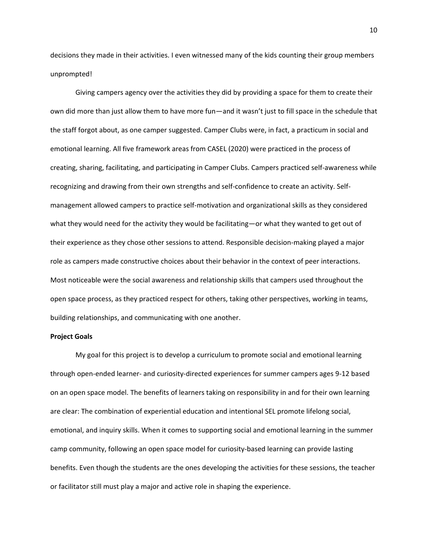decisions they made in their activities. I even witnessed many of the kids counting their group members unprompted!

Giving campers agency over the activities they did by providing a space for them to create their own did more than just allow them to have more fun—and it wasn't just to fill space in the schedule that the staff forgot about, as one camper suggested. Camper Clubs were, in fact, a practicum in social and emotional learning. All five framework areas from CASEL (2020) were practiced in the process of creating, sharing, facilitating, and participating in Camper Clubs. Campers practiced self‐awareness while recognizing and drawing from their own strengths and self‐confidence to create an activity. Self‐ management allowed campers to practice self-motivation and organizational skills as they considered what they would need for the activity they would be facilitating—or what they wanted to get out of their experience as they chose other sessions to attend. Responsible decision‐making played a major role as campers made constructive choices about their behavior in the context of peer interactions. Most noticeable were the social awareness and relationship skills that campers used throughout the open space process, as they practiced respect for others, taking other perspectives, working in teams, building relationships, and communicating with one another.

#### **Project Goals**

My goal for this project is to develop a curriculum to promote social and emotional learning through open‐ended learner‐ and curiosity‐directed experiences for summer campers ages 9‐12 based on an open space model. The benefits of learners taking on responsibility in and for their own learning are clear: The combination of experiential education and intentional SEL promote lifelong social, emotional, and inquiry skills. When it comes to supporting social and emotional learning in the summer camp community, following an open space model for curiosity‐based learning can provide lasting benefits. Even though the students are the ones developing the activities for these sessions, the teacher or facilitator still must play a major and active role in shaping the experience.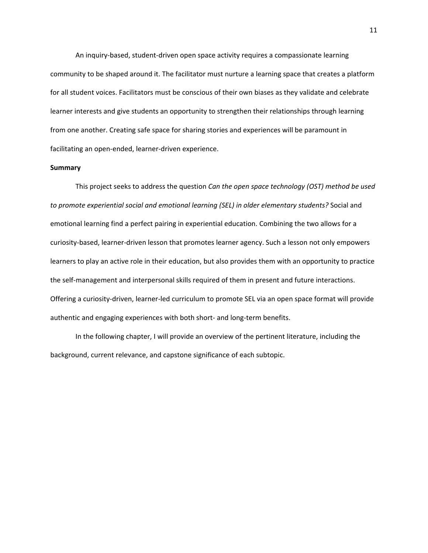An inquiry‐based, student‐driven open space activity requires a compassionate learning community to be shaped around it. The facilitator must nurture a learning space that creates a platform for all student voices. Facilitators must be conscious of their own biases as they validate and celebrate learner interests and give students an opportunity to strengthen their relationships through learning from one another. Creating safe space for sharing stories and experiences will be paramount in facilitating an open‐ended, learner‐driven experience.

#### **Summary**

This project seeks to address the question *Can the open space technology (OST) method be used to promote experiential social and emotional learning (SEL) in older elementary students?* Social and emotional learning find a perfect pairing in experiential education. Combining the two allows for a curiosity‐based, learner‐driven lesson that promotes learner agency. Such a lesson not only empowers learners to play an active role in their education, but also provides them with an opportunity to practice the self-management and interpersonal skills required of them in present and future interactions. Offering a curiosity‐driven, learner‐led curriculum to promote SEL via an open space format will provide authentic and engaging experiences with both short‐ and long‐term benefits.

In the following chapter, I will provide an overview of the pertinent literature, including the background, current relevance, and capstone significance of each subtopic.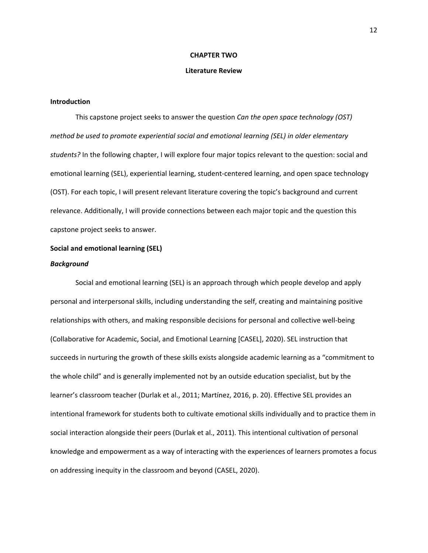#### **CHAPTER TWO**

#### **Literature Review**

# **Introduction**

This capstone project seeks to answer the question *Can the open space technology (OST) method be used to promote experiential social and emotional learning (SEL) in older elementary students?* In the following chapter, I will explore four major topics relevant to the question: social and emotional learning (SEL), experiential learning, student‐centered learning, and open space technology (OST). For each topic, I will present relevant literature covering the topic's background and current relevance. Additionally, I will provide connections between each major topic and the question this capstone project seeks to answer.

#### **Social and emotional learning (SEL)**

# *Background*

Social and emotional learning (SEL) is an approach through which people develop and apply personal and interpersonal skills, including understanding the self, creating and maintaining positive relationships with others, and making responsible decisions for personal and collective well‐being (Collaborative for Academic, Social, and Emotional Learning [CASEL], 2020). SEL instruction that succeeds in nurturing the growth of these skills exists alongside academic learning as a "commitment to the whole child" and is generally implemented not by an outside education specialist, but by the learner's classroom teacher (Durlak et al., 2011; Martínez, 2016, p. 20). Effective SEL provides an intentional framework for students both to cultivate emotional skills individually and to practice them in social interaction alongside their peers (Durlak et al., 2011). This intentional cultivation of personal knowledge and empowerment as a way of interacting with the experiences of learners promotes a focus on addressing inequity in the classroom and beyond (CASEL, 2020).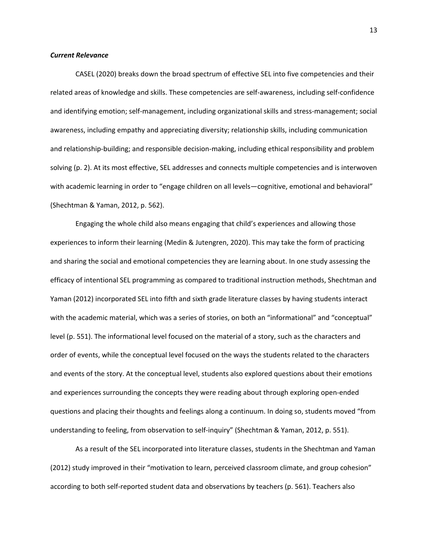#### *Current Relevance*

CASEL (2020) breaks down the broad spectrum of effective SEL into five competencies and their related areas of knowledge and skills. These competencies are self‐awareness, including self‐confidence and identifying emotion; self-management, including organizational skills and stress-management; social awareness, including empathy and appreciating diversity; relationship skills, including communication and relationship-building; and responsible decision-making, including ethical responsibility and problem solving (p. 2). At its most effective, SEL addresses and connects multiple competencies and is interwoven with academic learning in order to "engage children on all levels—cognitive, emotional and behavioral" (Shechtman & Yaman, 2012, p. 562).

Engaging the whole child also means engaging that child's experiences and allowing those experiences to inform their learning (Medin & Jutengren, 2020). This may take the form of practicing and sharing the social and emotional competencies they are learning about. In one study assessing the efficacy of intentional SEL programming as compared to traditional instruction methods, Shechtman and Yaman (2012) incorporated SEL into fifth and sixth grade literature classes by having students interact with the academic material, which was a series of stories, on both an "informational" and "conceptual" level (p. 551). The informational level focused on the material of a story, such as the characters and order of events, while the conceptual level focused on the ways the students related to the characters and events of the story. At the conceptual level, students also explored questions about their emotions and experiences surrounding the concepts they were reading about through exploring open‐ended questions and placing their thoughts and feelings along a continuum. In doing so, students moved "from understanding to feeling, from observation to self‐inquiry" (Shechtman & Yaman, 2012, p. 551).

As a result of the SEL incorporated into literature classes, students in the Shechtman and Yaman (2012) study improved in their "motivation to learn, perceived classroom climate, and group cohesion" according to both self‐reported student data and observations by teachers (p. 561). Teachers also

13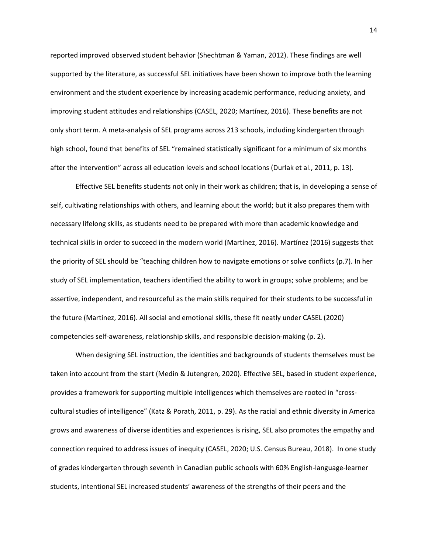reported improved observed student behavior (Shechtman & Yaman, 2012). These findings are well supported by the literature, as successful SEL initiatives have been shown to improve both the learning environment and the student experience by increasing academic performance, reducing anxiety, and improving student attitudes and relationships (CASEL, 2020; Martínez, 2016). These benefits are not only short term. A meta‐analysis of SEL programs across 213 schools, including kindergarten through high school, found that benefits of SEL "remained statistically significant for a minimum of six months after the intervention" across all education levels and school locations (Durlak et al., 2011, p. 13).

Effective SEL benefits students not only in their work as children; that is, in developing a sense of self, cultivating relationships with others, and learning about the world; but it also prepares them with necessary lifelong skills, as students need to be prepared with more than academic knowledge and technical skills in order to succeed in the modern world (Martínez, 2016). Martínez (2016) suggests that the priority of SEL should be "teaching children how to navigate emotions or solve conflicts (p.7). In her study of SEL implementation, teachers identified the ability to work in groups; solve problems; and be assertive, independent, and resourceful as the main skills required for their students to be successful in the future (Martínez, 2016). All social and emotional skills, these fit neatly under CASEL (2020) competencies self‐awareness, relationship skills, and responsible decision‐making (p. 2).

When designing SEL instruction, the identities and backgrounds of students themselves must be taken into account from the start (Medin & Jutengren, 2020). Effective SEL, based in student experience, provides a framework for supporting multiple intelligences which themselves are rooted in "crosscultural studies of intelligence" (Katz & Porath, 2011, p. 29). As the racial and ethnic diversity in America grows and awareness of diverse identities and experiences is rising, SEL also promotes the empathy and connection required to address issues of inequity (CASEL, 2020; U.S. Census Bureau, 2018). In one study of grades kindergarten through seventh in Canadian public schools with 60% English‐language‐learner students, intentional SEL increased students' awareness of the strengths of their peers and the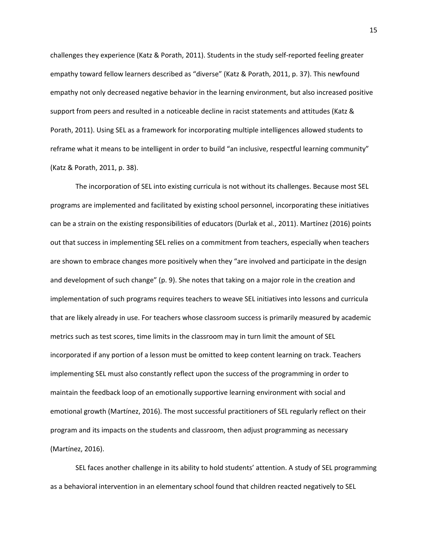challenges they experience (Katz & Porath, 2011). Students in the study self‐reported feeling greater empathy toward fellow learners described as "diverse" (Katz & Porath, 2011, p. 37). This newfound empathy not only decreased negative behavior in the learning environment, but also increased positive support from peers and resulted in a noticeable decline in racist statements and attitudes (Katz & Porath, 2011). Using SEL as a framework for incorporating multiple intelligences allowed students to reframe what it means to be intelligent in order to build "an inclusive, respectful learning community" (Katz & Porath, 2011, p. 38).

The incorporation of SEL into existing curricula is not without its challenges. Because most SEL programs are implemented and facilitated by existing school personnel, incorporating these initiatives can be a strain on the existing responsibilities of educators (Durlak et al., 2011). Martínez (2016) points out that success in implementing SEL relies on a commitment from teachers, especially when teachers are shown to embrace changes more positively when they "are involved and participate in the design and development of such change" (p. 9). She notes that taking on a major role in the creation and implementation of such programs requires teachers to weave SEL initiatives into lessons and curricula that are likely already in use. For teachers whose classroom success is primarily measured by academic metrics such as test scores, time limits in the classroom may in turn limit the amount of SEL incorporated if any portion of a lesson must be omitted to keep content learning on track. Teachers implementing SEL must also constantly reflect upon the success of the programming in order to maintain the feedback loop of an emotionally supportive learning environment with social and emotional growth (Martínez, 2016). The most successful practitioners of SEL regularly reflect on their program and its impacts on the students and classroom, then adjust programming as necessary (Martínez, 2016).

SEL faces another challenge in its ability to hold students' attention. A study of SEL programming as a behavioral intervention in an elementary school found that children reacted negatively to SEL

15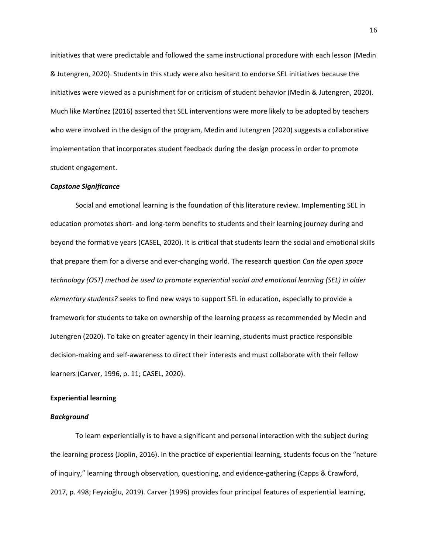initiatives that were predictable and followed the same instructional procedure with each lesson (Medin & Jutengren, 2020). Students in this study were also hesitant to endorse SEL initiatives because the initiatives were viewed as a punishment for or criticism of student behavior (Medin & Jutengren, 2020). Much like Martínez (2016) asserted that SEL interventions were more likely to be adopted by teachers who were involved in the design of the program, Medin and Jutengren (2020) suggests a collaborative implementation that incorporates student feedback during the design process in order to promote student engagement.

# *Capstone Significance*

Social and emotional learning is the foundation of this literature review. Implementing SEL in education promotes short‐ and long‐term benefits to students and their learning journey during and beyond the formative years (CASEL, 2020). It is critical that students learn the social and emotional skills that prepare them for a diverse and ever‐changing world. The research question *Can the open space technology (OST) method be used to promote experiential social and emotional learning (SEL) in older elementary students?* seeks to find new ways to support SEL in education, especially to provide a framework for students to take on ownership of the learning process as recommended by Medin and Jutengren (2020). To take on greater agency in their learning, students must practice responsible decision‐making and self‐awareness to direct their interests and must collaborate with their fellow learners (Carver, 1996, p. 11; CASEL, 2020).

#### **Experiential learning**

#### *Background*

To learn experientially is to have a significant and personal interaction with the subject during the learning process (Joplin, 2016). In the practice of experiential learning, students focus on the "nature of inquiry," learning through observation, questioning, and evidence‐gathering (Capps & Crawford, 2017, p. 498; Feyzioğlu, 2019). Carver (1996) provides four principal features of experiential learning,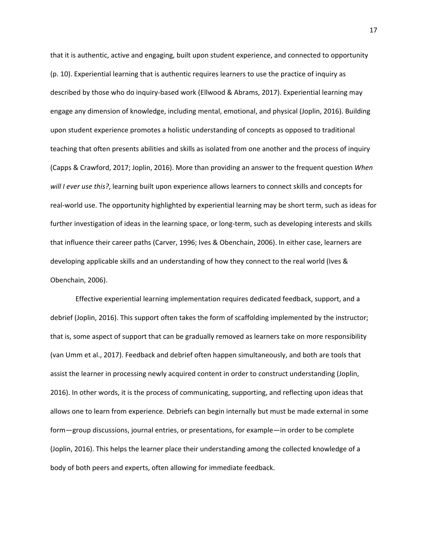that it is authentic, active and engaging, built upon student experience, and connected to opportunity (p. 10). Experiential learning that is authentic requires learners to use the practice of inquiry as described by those who do inquiry‐based work (Ellwood & Abrams, 2017). Experiential learning may engage any dimension of knowledge, including mental, emotional, and physical (Joplin, 2016). Building upon student experience promotes a holistic understanding of concepts as opposed to traditional teaching that often presents abilities and skills as isolated from one another and the process of inquiry (Capps & Crawford, 2017; Joplin, 2016). More than providing an answer to the frequent question *When will I ever use this?*, learning built upon experience allows learners to connect skills and concepts for real‐world use. The opportunity highlighted by experiential learning may be short term, such as ideas for further investigation of ideas in the learning space, or long-term, such as developing interests and skills that influence their career paths (Carver, 1996; Ives & Obenchain, 2006). In either case, learners are developing applicable skills and an understanding of how they connect to the real world (Ives & Obenchain, 2006).

Effective experiential learning implementation requires dedicated feedback, support, and a debrief (Joplin, 2016). This support often takes the form of scaffolding implemented by the instructor; that is, some aspect of support that can be gradually removed as learners take on more responsibility (van Umm et al., 2017). Feedback and debrief often happen simultaneously, and both are tools that assist the learner in processing newly acquired content in order to construct understanding (Joplin, 2016). In other words, it is the process of communicating, supporting, and reflecting upon ideas that allows one to learn from experience. Debriefs can begin internally but must be made external in some form—group discussions, journal entries, or presentations, for example—in order to be complete (Joplin, 2016). This helps the learner place their understanding among the collected knowledge of a body of both peers and experts, often allowing for immediate feedback.

17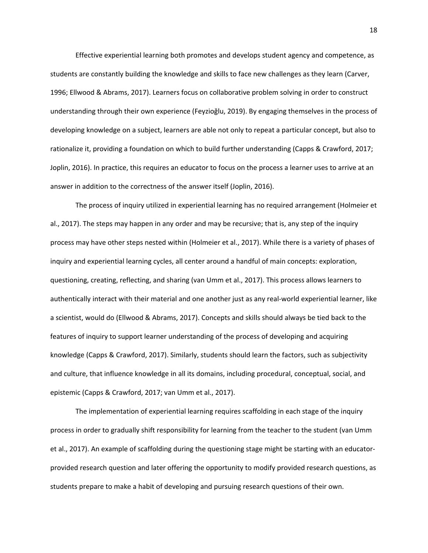Effective experiential learning both promotes and develops student agency and competence, as students are constantly building the knowledge and skills to face new challenges as they learn (Carver, 1996; Ellwood & Abrams, 2017). Learners focus on collaborative problem solving in order to construct understanding through their own experience (Feyzioğlu, 2019). By engaging themselves in the process of developing knowledge on a subject, learners are able not only to repeat a particular concept, but also to rationalize it, providing a foundation on which to build further understanding (Capps & Crawford, 2017; Joplin, 2016). In practice, this requires an educator to focus on the process a learner uses to arrive at an answer in addition to the correctness of the answer itself (Joplin, 2016).

The process of inquiry utilized in experiential learning has no required arrangement (Holmeier et al., 2017). The steps may happen in any order and may be recursive; that is, any step of the inquiry process may have other steps nested within (Holmeier et al., 2017). While there is a variety of phases of inquiry and experiential learning cycles, all center around a handful of main concepts: exploration, questioning, creating, reflecting, and sharing (van Umm et al., 2017). This process allows learners to authentically interact with their material and one another just as any real‐world experiential learner, like a scientist, would do (Ellwood & Abrams, 2017). Concepts and skills should always be tied back to the features of inquiry to support learner understanding of the process of developing and acquiring knowledge (Capps & Crawford, 2017). Similarly, students should learn the factors, such as subjectivity and culture, that influence knowledge in all its domains, including procedural, conceptual, social, and epistemic (Capps & Crawford, 2017; van Umm et al., 2017).

The implementation of experiential learning requires scaffolding in each stage of the inquiry process in order to gradually shift responsibility for learning from the teacher to the student (van Umm et al., 2017). An example of scaffolding during the questioning stage might be starting with an educator‐ provided research question and later offering the opportunity to modify provided research questions, as students prepare to make a habit of developing and pursuing research questions of their own.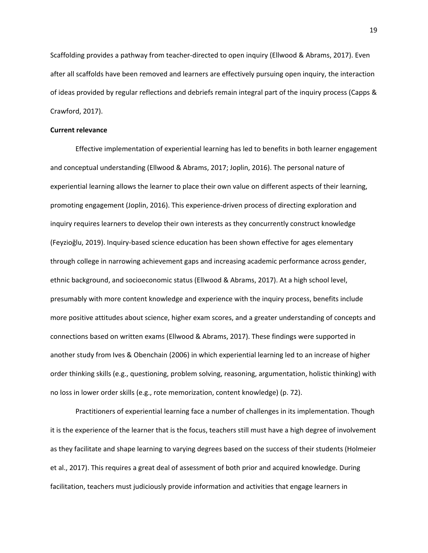Scaffolding provides a pathway from teacher‐directed to open inquiry (Ellwood & Abrams, 2017). Even after all scaffolds have been removed and learners are effectively pursuing open inquiry, the interaction of ideas provided by regular reflections and debriefs remain integral part of the inquiry process (Capps & Crawford, 2017).

# **Current relevance**

Effective implementation of experiential learning has led to benefits in both learner engagement and conceptual understanding (Ellwood & Abrams, 2017; Joplin, 2016). The personal nature of experiential learning allows the learner to place their own value on different aspects of their learning, promoting engagement (Joplin, 2016). This experience‐driven process of directing exploration and inquiry requires learners to develop their own interests as they concurrently construct knowledge (Feyzioğlu, 2019). Inquiry‐based science education has been shown effective for ages elementary through college in narrowing achievement gaps and increasing academic performance across gender, ethnic background, and socioeconomic status (Ellwood & Abrams, 2017). At a high school level, presumably with more content knowledge and experience with the inquiry process, benefits include more positive attitudes about science, higher exam scores, and a greater understanding of concepts and connections based on written exams (Ellwood & Abrams, 2017). These findings were supported in another study from Ives & Obenchain (2006) in which experiential learning led to an increase of higher order thinking skills (e.g., questioning, problem solving, reasoning, argumentation, holistic thinking) with no loss in lower order skills (e.g., rote memorization, content knowledge) (p. 72).

Practitioners of experiential learning face a number of challenges in its implementation. Though it is the experience of the learner that is the focus, teachers still must have a high degree of involvement as they facilitate and shape learning to varying degrees based on the success of their students (Holmeier et al., 2017). This requires a great deal of assessment of both prior and acquired knowledge. During facilitation, teachers must judiciously provide information and activities that engage learners in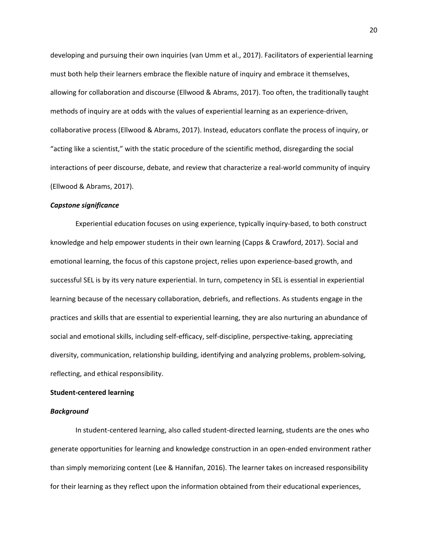developing and pursuing their own inquiries (van Umm et al., 2017). Facilitators of experiential learning must both help their learners embrace the flexible nature of inquiry and embrace it themselves, allowing for collaboration and discourse (Ellwood & Abrams, 2017). Too often, the traditionally taught methods of inquiry are at odds with the values of experiential learning as an experience‐driven, collaborative process (Ellwood & Abrams, 2017). Instead, educators conflate the process of inquiry, or "acting like a scientist," with the static procedure of the scientific method, disregarding the social interactions of peer discourse, debate, and review that characterize a real‐world community of inquiry (Ellwood & Abrams, 2017).

#### *Capstone significance*

Experiential education focuses on using experience, typically inquiry‐based, to both construct knowledge and help empower students in their own learning (Capps & Crawford, 2017). Social and emotional learning, the focus of this capstone project, relies upon experience‐based growth, and successful SEL is by its very nature experiential. In turn, competency in SEL is essential in experiential learning because of the necessary collaboration, debriefs, and reflections. As students engage in the practices and skills that are essential to experiential learning, they are also nurturing an abundance of social and emotional skills, including self‐efficacy, self‐discipline, perspective‐taking, appreciating diversity, communication, relationship building, identifying and analyzing problems, problem‐solving, reflecting, and ethical responsibility.

# **Student‐centered learning**

#### *Background*

In student‐centered learning, also called student‐directed learning, students are the ones who generate opportunities for learning and knowledge construction in an open-ended environment rather than simply memorizing content (Lee & Hannifan, 2016). The learner takes on increased responsibility for their learning as they reflect upon the information obtained from their educational experiences,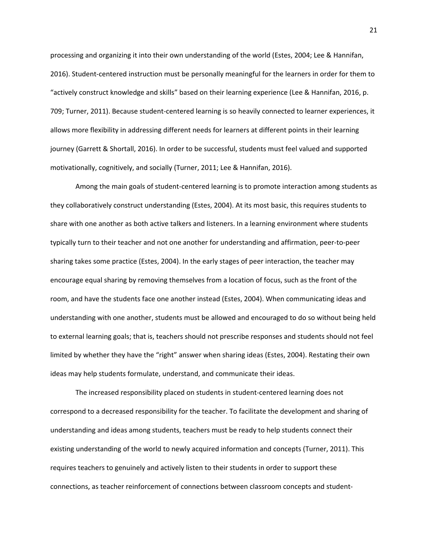processing and organizing it into their own understanding of the world (Estes, 2004; Lee & Hannifan, 2016). Student‐centered instruction must be personally meaningful for the learners in order for them to "actively construct knowledge and skills" based on their learning experience (Lee & Hannifan, 2016, p. 709; Turner, 2011). Because student‐centered learning is so heavily connected to learner experiences, it allows more flexibility in addressing different needs for learners at different points in their learning journey (Garrett & Shortall, 2016). In order to be successful, students must feel valued and supported motivationally, cognitively, and socially (Turner, 2011; Lee & Hannifan, 2016).

Among the main goals of student‐centered learning is to promote interaction among students as they collaboratively construct understanding (Estes, 2004). At its most basic, this requires students to share with one another as both active talkers and listeners. In a learning environment where students typically turn to their teacher and not one another for understanding and affirmation, peer‐to‐peer sharing takes some practice (Estes, 2004). In the early stages of peer interaction, the teacher may encourage equal sharing by removing themselves from a location of focus, such as the front of the room, and have the students face one another instead (Estes, 2004). When communicating ideas and understanding with one another, students must be allowed and encouraged to do so without being held to external learning goals; that is, teachers should not prescribe responses and students should not feel limited by whether they have the "right" answer when sharing ideas (Estes, 2004). Restating their own ideas may help students formulate, understand, and communicate their ideas.

The increased responsibility placed on students in student‐centered learning does not correspond to a decreased responsibility for the teacher. To facilitate the development and sharing of understanding and ideas among students, teachers must be ready to help students connect their existing understanding of the world to newly acquired information and concepts (Turner, 2011). This requires teachers to genuinely and actively listen to their students in order to support these connections, as teacher reinforcement of connections between classroom concepts and student‐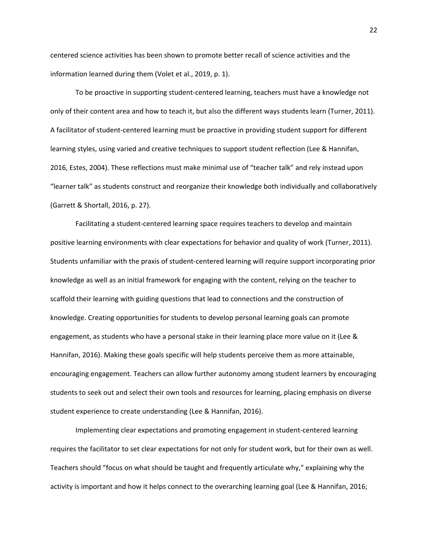centered science activities has been shown to promote better recall of science activities and the information learned during them (Volet et al., 2019, p. 1).

To be proactive in supporting student‐centered learning, teachers must have a knowledge not only of their content area and how to teach it, but also the different ways students learn (Turner, 2011). A facilitator of student‐centered learning must be proactive in providing student support for different learning styles, using varied and creative techniques to support student reflection (Lee & Hannifan, 2016, Estes, 2004). These reflections must make minimal use of "teacher talk" and rely instead upon "learner talk" as students construct and reorganize their knowledge both individually and collaboratively (Garrett & Shortall, 2016, p. 27).

Facilitating a student-centered learning space requires teachers to develop and maintain positive learning environments with clear expectations for behavior and quality of work (Turner, 2011). Students unfamiliar with the praxis of student‐centered learning will require support incorporating prior knowledge as well as an initial framework for engaging with the content, relying on the teacher to scaffold their learning with guiding questions that lead to connections and the construction of knowledge. Creating opportunities for students to develop personal learning goals can promote engagement, as students who have a personal stake in their learning place more value on it (Lee & Hannifan, 2016). Making these goals specific will help students perceive them as more attainable, encouraging engagement. Teachers can allow further autonomy among student learners by encouraging students to seek out and select their own tools and resources for learning, placing emphasis on diverse student experience to create understanding (Lee & Hannifan, 2016).

Implementing clear expectations and promoting engagement in student‐centered learning requires the facilitator to set clear expectations for not only for student work, but for their own as well. Teachers should "focus on what should be taught and frequently articulate why," explaining why the activity is important and how it helps connect to the overarching learning goal (Lee & Hannifan, 2016;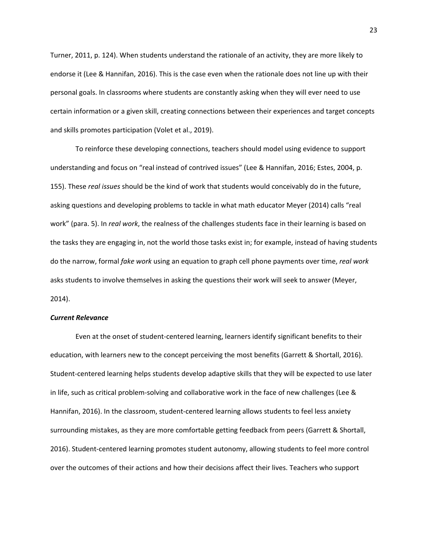Turner, 2011, p. 124). When students understand the rationale of an activity, they are more likely to endorse it (Lee & Hannifan, 2016). This is the case even when the rationale does not line up with their personal goals. In classrooms where students are constantly asking when they will ever need to use certain information or a given skill, creating connections between their experiences and target concepts and skills promotes participation (Volet et al., 2019).

To reinforce these developing connections, teachers should model using evidence to support understanding and focus on "real instead of contrived issues" (Lee & Hannifan, 2016; Estes, 2004, p. 155). These *real issues* should be the kind of work that students would conceivably do in the future, asking questions and developing problems to tackle in what math educator Meyer (2014) calls "real work" (para. 5). In *real work*, the realness of the challenges students face in their learning is based on the tasks they are engaging in, not the world those tasks exist in; for example, instead of having students do the narrow, formal *fake work* using an equation to graph cell phone payments over time, *real work* asks students to involve themselves in asking the questions their work will seek to answer (Meyer, 2014).

#### *Current Relevance*

Even at the onset of student‐centered learning, learners identify significant benefits to their education, with learners new to the concept perceiving the most benefits (Garrett & Shortall, 2016). Student‐centered learning helps students develop adaptive skills that they will be expected to use later in life, such as critical problem-solving and collaborative work in the face of new challenges (Lee & Hannifan, 2016). In the classroom, student‐centered learning allows students to feel less anxiety surrounding mistakes, as they are more comfortable getting feedback from peers (Garrett & Shortall, 2016). Student‐centered learning promotes student autonomy, allowing students to feel more control over the outcomes of their actions and how their decisions affect their lives. Teachers who support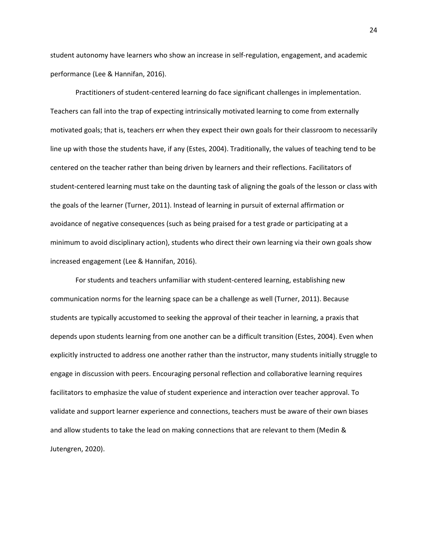student autonomy have learners who show an increase in self‐regulation, engagement, and academic performance (Lee & Hannifan, 2016).

Practitioners of student‐centered learning do face significant challenges in implementation. Teachers can fall into the trap of expecting intrinsically motivated learning to come from externally motivated goals; that is, teachers err when they expect their own goals for their classroom to necessarily line up with those the students have, if any (Estes, 2004). Traditionally, the values of teaching tend to be centered on the teacher rather than being driven by learners and their reflections. Facilitators of student-centered learning must take on the daunting task of aligning the goals of the lesson or class with the goals of the learner (Turner, 2011). Instead of learning in pursuit of external affirmation or avoidance of negative consequences (such as being praised for a test grade or participating at a minimum to avoid disciplinary action), students who direct their own learning via their own goals show increased engagement (Lee & Hannifan, 2016).

For students and teachers unfamiliar with student‐centered learning, establishing new communication norms for the learning space can be a challenge as well (Turner, 2011). Because students are typically accustomed to seeking the approval of their teacher in learning, a praxis that depends upon students learning from one another can be a difficult transition (Estes, 2004). Even when explicitly instructed to address one another rather than the instructor, many students initially struggle to engage in discussion with peers. Encouraging personal reflection and collaborative learning requires facilitators to emphasize the value of student experience and interaction over teacher approval. To validate and support learner experience and connections, teachers must be aware of their own biases and allow students to take the lead on making connections that are relevant to them (Medin & Jutengren, 2020).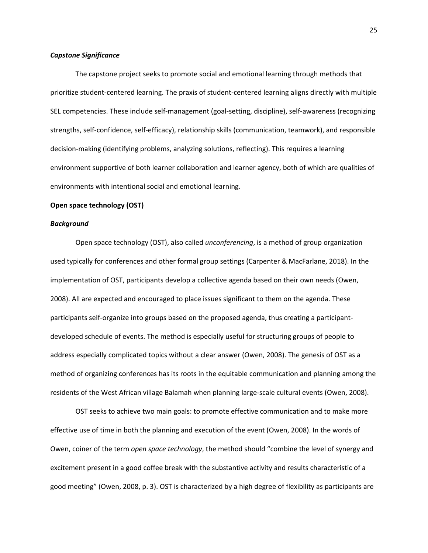#### *Capstone Significance*

The capstone project seeks to promote social and emotional learning through methods that prioritize student‐centered learning. The praxis of student‐centered learning aligns directly with multiple SEL competencies. These include self‐management (goal‐setting, discipline), self‐awareness (recognizing strengths, self-confidence, self-efficacy), relationship skills (communication, teamwork), and responsible decision‐making (identifying problems, analyzing solutions, reflecting). This requires a learning environment supportive of both learner collaboration and learner agency, both of which are qualities of environments with intentional social and emotional learning.

#### **Open space technology (OST)**

# *Background*

Open space technology (OST), also called *unconferencing*, is a method of group organization used typically for conferences and other formal group settings (Carpenter & MacFarlane, 2018). In the implementation of OST, participants develop a collective agenda based on their own needs (Owen, 2008). All are expected and encouraged to place issues significant to them on the agenda. These participants self-organize into groups based on the proposed agenda, thus creating a participantdeveloped schedule of events. The method is especially useful for structuring groups of people to address especially complicated topics without a clear answer (Owen, 2008). The genesis of OST as a method of organizing conferences has its roots in the equitable communication and planning among the residents of the West African village Balamah when planning large‐scale cultural events (Owen, 2008).

OST seeks to achieve two main goals: to promote effective communication and to make more effective use of time in both the planning and execution of the event (Owen, 2008). In the words of Owen, coiner of the term *open space technology*, the method should "combine the level of synergy and excitement present in a good coffee break with the substantive activity and results characteristic of a good meeting" (Owen, 2008, p. 3). OST is characterized by a high degree of flexibility as participants are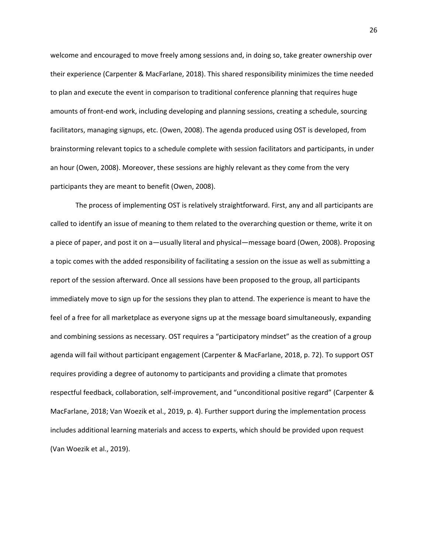welcome and encouraged to move freely among sessions and, in doing so, take greater ownership over their experience (Carpenter & MacFarlane, 2018). This shared responsibility minimizes the time needed to plan and execute the event in comparison to traditional conference planning that requires huge amounts of front‐end work, including developing and planning sessions, creating a schedule, sourcing facilitators, managing signups, etc. (Owen, 2008). The agenda produced using OST is developed, from brainstorming relevant topics to a schedule complete with session facilitators and participants, in under an hour (Owen, 2008). Moreover, these sessions are highly relevant as they come from the very participants they are meant to benefit (Owen, 2008).

The process of implementing OST is relatively straightforward. First, any and all participants are called to identify an issue of meaning to them related to the overarching question or theme, write it on a piece of paper, and post it on a—usually literal and physical—message board (Owen, 2008). Proposing a topic comes with the added responsibility of facilitating a session on the issue as well as submitting a report of the session afterward. Once all sessions have been proposed to the group, all participants immediately move to sign up for the sessions they plan to attend. The experience is meant to have the feel of a free for all marketplace as everyone signs up at the message board simultaneously, expanding and combining sessions as necessary. OST requires a "participatory mindset" as the creation of a group agenda will fail without participant engagement (Carpenter & MacFarlane, 2018, p. 72). To support OST requires providing a degree of autonomy to participants and providing a climate that promotes respectful feedback, collaboration, self‐improvement, and "unconditional positive regard" (Carpenter & MacFarlane, 2018; Van Woezik et al., 2019, p. 4). Further support during the implementation process includes additional learning materials and access to experts, which should be provided upon request (Van Woezik et al., 2019).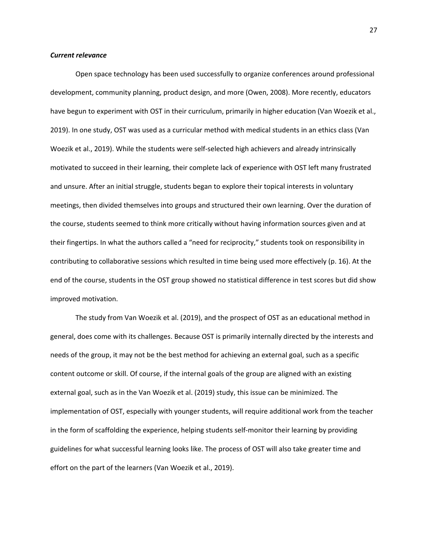#### *Current relevance*

Open space technology has been used successfully to organize conferences around professional development, community planning, product design, and more (Owen, 2008). More recently, educators have begun to experiment with OST in their curriculum, primarily in higher education (Van Woezik et al., 2019). In one study, OST was used as a curricular method with medical students in an ethics class (Van Woezik et al., 2019). While the students were self‐selected high achievers and already intrinsically motivated to succeed in their learning, their complete lack of experience with OST left many frustrated and unsure. After an initial struggle, students began to explore their topical interests in voluntary meetings, then divided themselves into groups and structured their own learning. Over the duration of the course, students seemed to think more critically without having information sources given and at their fingertips. In what the authors called a "need for reciprocity," students took on responsibility in contributing to collaborative sessions which resulted in time being used more effectively (p. 16). At the end of the course, students in the OST group showed no statistical difference in test scores but did show improved motivation.

The study from Van Woezik et al. (2019), and the prospect of OST as an educational method in general, does come with its challenges. Because OST is primarily internally directed by the interests and needs of the group, it may not be the best method for achieving an external goal, such as a specific content outcome or skill. Of course, if the internal goals of the group are aligned with an existing external goal, such as in the Van Woezik et al. (2019) study, this issue can be minimized. The implementation of OST, especially with younger students, will require additional work from the teacher in the form of scaffolding the experience, helping students self-monitor their learning by providing guidelines for what successful learning looks like. The process of OST will also take greater time and effort on the part of the learners (Van Woezik et al., 2019).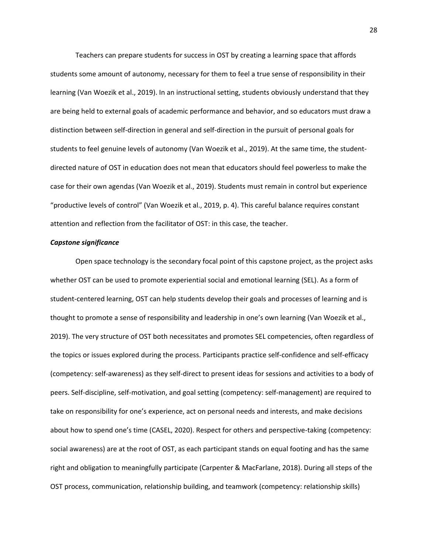Teachers can prepare students for success in OST by creating a learning space that affords students some amount of autonomy, necessary for them to feel a true sense of responsibility in their learning (Van Woezik et al., 2019). In an instructional setting, students obviously understand that they are being held to external goals of academic performance and behavior, and so educators must draw a distinction between self‐direction in general and self‐direction in the pursuit of personal goals for students to feel genuine levels of autonomy (Van Woezik et al., 2019). At the same time, the student‐ directed nature of OST in education does not mean that educators should feel powerless to make the case for their own agendas (Van Woezik et al., 2019). Students must remain in control but experience "productive levels of control" (Van Woezik et al., 2019, p. 4). This careful balance requires constant attention and reflection from the facilitator of OST: in this case, the teacher.

#### *Capstone significance*

Open space technology is the secondary focal point of this capstone project, as the project asks whether OST can be used to promote experiential social and emotional learning (SEL). As a form of student‐centered learning, OST can help students develop their goals and processes of learning and is thought to promote a sense of responsibility and leadership in one's own learning (Van Woezik et al., 2019). The very structure of OST both necessitates and promotes SEL competencies, often regardless of the topics or issues explored during the process. Participants practice self‐confidence and self‐efficacy (competency: self‐awareness) as they self‐direct to present ideas for sessions and activities to a body of peers. Self‐discipline, self‐motivation, and goal setting (competency: self‐management) are required to take on responsibility for one's experience, act on personal needs and interests, and make decisions about how to spend one's time (CASEL, 2020). Respect for others and perspective‐taking (competency: social awareness) are at the root of OST, as each participant stands on equal footing and has the same right and obligation to meaningfully participate (Carpenter & MacFarlane, 2018). During all steps of the OST process, communication, relationship building, and teamwork (competency: relationship skills)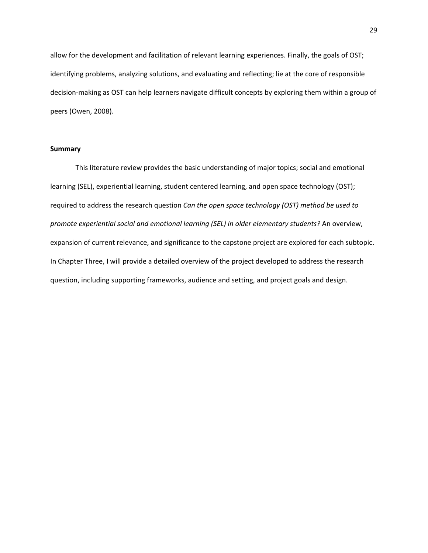allow for the development and facilitation of relevant learning experiences. Finally, the goals of OST; identifying problems, analyzing solutions, and evaluating and reflecting; lie at the core of responsible decision‐making as OST can help learners navigate difficult concepts by exploring them within a group of peers (Owen, 2008).

# **Summary**

This literature review provides the basic understanding of major topics; social and emotional learning (SEL), experiential learning, student centered learning, and open space technology (OST); required to address the research question *Can the open space technology (OST) method be used to promote experiential social and emotional learning (SEL) in older elementary students?* An overview, expansion of current relevance, and significance to the capstone project are explored for each subtopic. In Chapter Three, I will provide a detailed overview of the project developed to address the research question, including supporting frameworks, audience and setting, and project goals and design.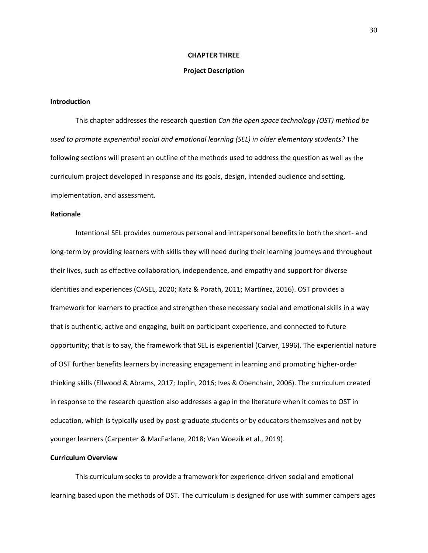# **CHAPTER THREE**

# **Project Description**

# **Introduction**

This chapter addresses the research question *Can the open space technology (OST) method be used to promote experiential social and emotional learning (SEL) in older elementary students?* The following sections will present an outline of the methods used to address the question as well as the curriculum project developed in response and its goals, design, intended audience and setting, implementation, and assessment.

# **Rationale**

Intentional SEL provides numerous personal and intrapersonal benefits in both the short‐ and long-term by providing learners with skills they will need during their learning journeys and throughout their lives, such as effective collaboration, independence, and empathy and support for diverse identities and experiences (CASEL, 2020; Katz & Porath, 2011; Martínez, 2016). OST provides a framework for learners to practice and strengthen these necessary social and emotional skills in a way that is authentic, active and engaging, built on participant experience, and connected to future opportunity; that is to say, the framework that SEL is experiential (Carver, 1996). The experiential nature of OST further benefits learners by increasing engagement in learning and promoting higher‐order thinking skills (Ellwood & Abrams, 2017; Joplin, 2016; Ives & Obenchain, 2006). The curriculum created in response to the research question also addresses a gap in the literature when it comes to OST in education, which is typically used by post‐graduate students or by educators themselves and not by younger learners (Carpenter & MacFarlane, 2018; Van Woezik et al., 2019).

# **Curriculum Overview**

This curriculum seeks to provide a framework for experience‐driven social and emotional learning based upon the methods of OST. The curriculum is designed for use with summer campers ages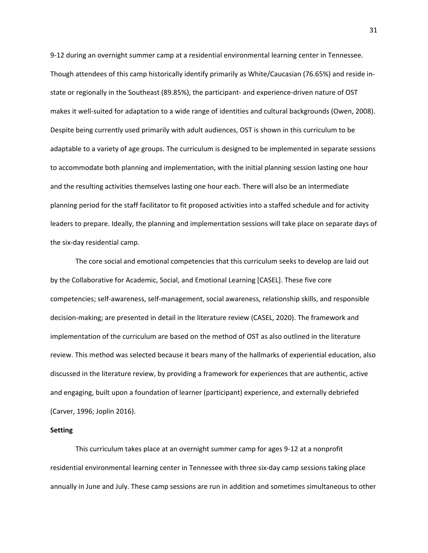9‐12 during an overnight summer camp at a residential environmental learning center in Tennessee. Though attendees of this camp historically identify primarily as White/Caucasian (76.65%) and reside in‐ state or regionally in the Southeast (89.85%), the participant‐ and experience‐driven nature of OST makes it well‐suited for adaptation to a wide range of identities and cultural backgrounds (Owen, 2008). Despite being currently used primarily with adult audiences, OST is shown in this curriculum to be adaptable to a variety of age groups. The curriculum is designed to be implemented in separate sessions to accommodate both planning and implementation, with the initial planning session lasting one hour and the resulting activities themselves lasting one hour each. There will also be an intermediate planning period for the staff facilitator to fit proposed activities into a staffed schedule and for activity leaders to prepare. Ideally, the planning and implementation sessions will take place on separate days of the six‐day residential camp.

The core social and emotional competencies that this curriculum seeks to develop are laid out by the Collaborative for Academic, Social, and Emotional Learning [CASEL]. These five core competencies; self‐awareness, self‐management, social awareness, relationship skills, and responsible decision‐making; are presented in detail in the literature review (CASEL, 2020). The framework and implementation of the curriculum are based on the method of OST as also outlined in the literature review. This method was selected because it bears many of the hallmarks of experiential education, also discussed in the literature review, by providing a framework for experiences that are authentic, active and engaging, built upon a foundation of learner (participant) experience, and externally debriefed (Carver, 1996; Joplin 2016).

# **Setting**

This curriculum takes place at an overnight summer camp for ages 9‐12 at a nonprofit residential environmental learning center in Tennessee with three six‐day camp sessions taking place annually in June and July. These camp sessions are run in addition and sometimes simultaneous to other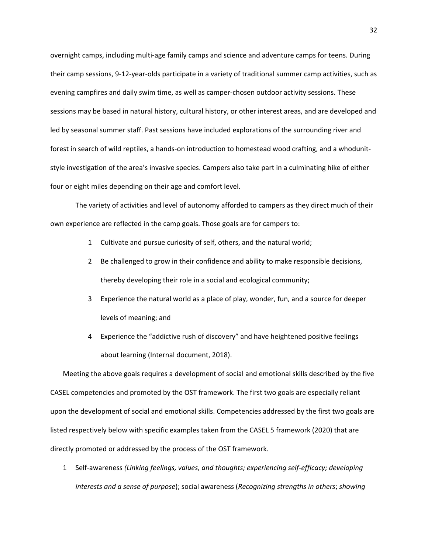overnight camps, including multi‐age family camps and science and adventure camps for teens. During their camp sessions, 9‐12‐year‐olds participate in a variety of traditional summer camp activities, such as evening campfires and daily swim time, as well as camper‐chosen outdoor activity sessions. These sessions may be based in natural history, cultural history, or other interest areas, and are developed and led by seasonal summer staff. Past sessions have included explorations of the surrounding river and forest in search of wild reptiles, a hands-on introduction to homestead wood crafting, and a whodunitstyle investigation of the area's invasive species. Campers also take part in a culminating hike of either four or eight miles depending on their age and comfort level.

The variety of activities and level of autonomy afforded to campers as they direct much of their own experience are reflected in the camp goals. Those goals are for campers to:

- 1 Cultivate and pursue curiosity of self, others, and the natural world;
- 2 Be challenged to grow in their confidence and ability to make responsible decisions, thereby developing their role in a social and ecological community;
- 3 Experience the natural world as a place of play, wonder, fun, and a source for deeper levels of meaning; and
- 4 Experience the "addictive rush of discovery" and have heightened positive feelings about learning (Internal document, 2018).

Meeting the above goals requires a development of social and emotional skills described by the five CASEL competencies and promoted by the OST framework. The first two goals are especially reliant upon the development of social and emotional skills. Competencies addressed by the first two goals are listed respectively below with specific examples taken from the CASEL 5 framework (2020) that are directly promoted or addressed by the process of the OST framework.

1 Self‐awareness *(Linking feelings, values, and thoughts; experiencing self‐efficacy; developing interests and a sense of purpose*); social awareness (*Recognizing strengths in others*; *showing*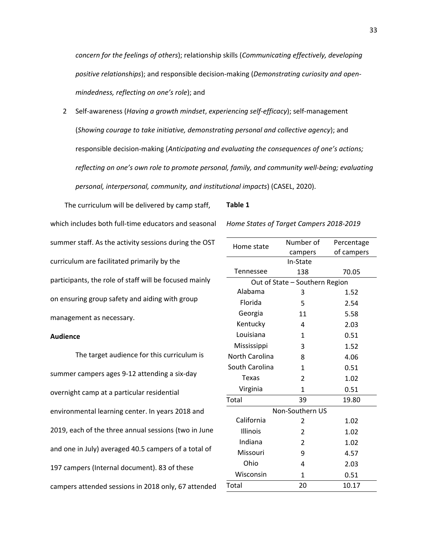*concern for the feelings of others*); relationship skills (*Communicating effectively, developing positive relationships*); and responsible decision‐making (*Demonstrating curiosity and open‐ mindedness, reflecting on one's role*); and

2 Self‐awareness (*Having a growth mindset*, *experiencing self‐efficacy*); self‐management (*Showing courage to take initiative, demonstrating personal and collective agency*); and responsible decision‐making (*Anticipating and evaluating the consequences of one's actions; reflecting on one's own role to promote personal, family, and community well‐being; evaluating personal, interpersonal, community, and institutional impacts*) (CASEL, 2020).

The curriculum will be delivered by camp staff, which includes both full‐time educators and seasonal summer staff. As the activity sessions during the OST curriculum are facilitated primarily by the participants, the role of staff will be focused mainly on ensuring group safety and aiding with group management as necessary.

### **Audience**

The target audience for this curriculum is summer campers ages 9‐12 attending a six‐day overnight camp at a particular residential environmental learning center. In years 2018 and 2019, each of the three annual sessions (two in June and one in July) averaged 40.5 campers of a total of 197 campers (Internal document). 83 of these campers attended sessions in 2018 only, 67 attended

#### **Table 1**

*Home States of Target Campers 2018‐2019*

| Home state                     | Number of                | Percentage |  |  |  |  |
|--------------------------------|--------------------------|------------|--|--|--|--|
|                                | campers                  | of campers |  |  |  |  |
| In-State                       |                          |            |  |  |  |  |
| <b>Tennessee</b>               | 138                      | 70.05      |  |  |  |  |
| Out of State - Southern Region |                          |            |  |  |  |  |
| Alabama                        | 3                        | 1.52       |  |  |  |  |
| Florida                        | 5                        | 2.54       |  |  |  |  |
| Georgia                        | 11                       | 5.58       |  |  |  |  |
| Kentucky                       | 4                        | 2.03       |  |  |  |  |
| Louisiana                      | 1                        | 0.51       |  |  |  |  |
| Mississippi                    | 3                        | 1.52       |  |  |  |  |
| <b>North Carolina</b>          | 8                        | 4.06       |  |  |  |  |
| South Carolina                 | 1                        | 0.51       |  |  |  |  |
| <b>Texas</b>                   | $\overline{2}$           | 1.02       |  |  |  |  |
| Virginia                       | 1                        | 0.51       |  |  |  |  |
| Total                          | 39                       | 19.80      |  |  |  |  |
| Non-Southern US                |                          |            |  |  |  |  |
| California                     | 2                        | 1.02       |  |  |  |  |
| Illinois                       | 2                        | 1.02       |  |  |  |  |
| Indiana                        | $\overline{\mathcal{L}}$ | 1.02       |  |  |  |  |
| Missouri                       | 9                        | 4.57       |  |  |  |  |
| Ohio                           | 4                        | 2.03       |  |  |  |  |
| Wisconsin                      | $\mathbf{1}$             | 0.51       |  |  |  |  |
| Total                          | 20                       | 10.17      |  |  |  |  |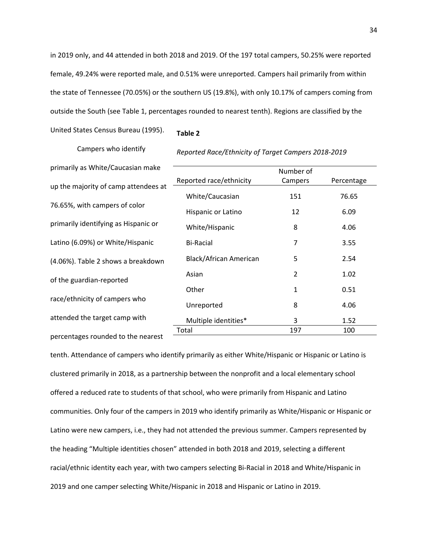in 2019 only, and 44 attended in both 2018 and 2019. Of the 197 total campers, 50.25% were reported female, 49.24% were reported male, and 0.51% were unreported. Campers hail primarily from within the state of Tennessee (70.05%) or the southern US (19.8%), with only 10.17% of campers coming from outside the South (see Table 1, percentages rounded to nearest tenth). Regions are classified by the

United States Census Bureau (1995).

# **Table 2**

Campers who identify primarily as White/Caucasian make up the majority of camp attendees at 76.65%, with campers of color primarily identifying as Hispanic or Latino (6.09%) or White/Hispanic (4.06%). Table 2 shows a breakdown of the guardian‐reported race/ethnicity of campers who attended the target camp with percentages rounded to the nearest

|                         | Number of      |            |
|-------------------------|----------------|------------|
| Reported race/ethnicity | Campers        | Percentage |
| White/Caucasian         | 151            | 76.65      |
| Hispanic or Latino      | 12             | 6.09       |
| White/Hispanic          | 8              | 4.06       |
| <b>Bi-Racial</b>        | 7              | 3.55       |
| Black/African American  | 5              | 2.54       |
| Asian                   | $\overline{2}$ | 1.02       |
| Other                   | 1              | 0.51       |
| Unreported              | 8              | 4.06       |
| Multiple identities*    | 3              | 1.52       |
| Total                   | 197            | 100        |

*Reported Race/Ethnicity of Target Campers 2018‐2019*

tenth. Attendance of campers who identify primarily as either White/Hispanic or Hispanic or Latino is clustered primarily in 2018, as a partnership between the nonprofit and a local elementary school offered a reduced rate to students of that school, who were primarily from Hispanic and Latino communities. Only four of the campers in 2019 who identify primarily as White/Hispanic or Hispanic or Latino were new campers, i.e., they had not attended the previous summer. Campers represented by the heading "Multiple identities chosen" attended in both 2018 and 2019, selecting a different racial/ethnic identity each year, with two campers selecting Bi‐Racial in 2018 and White/Hispanic in 2019 and one camper selecting White/Hispanic in 2018 and Hispanic or Latino in 2019.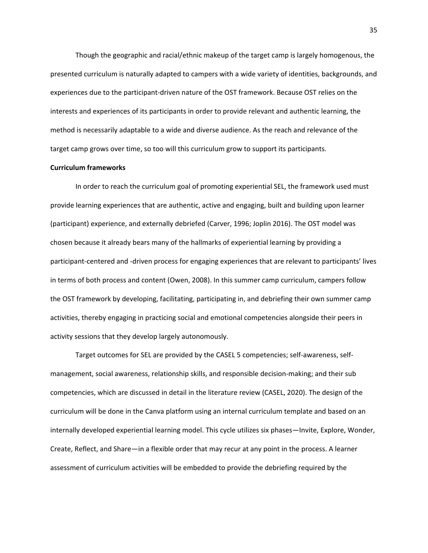Though the geographic and racial/ethnic makeup of the target camp is largely homogenous, the presented curriculum is naturally adapted to campers with a wide variety of identities, backgrounds, and experiences due to the participant‐driven nature of the OST framework. Because OST relies on the interests and experiences of its participants in order to provide relevant and authentic learning, the method is necessarily adaptable to a wide and diverse audience. As the reach and relevance of the target camp grows over time, so too will this curriculum grow to support its participants.

#### **Curriculum frameworks**

In order to reach the curriculum goal of promoting experiential SEL, the framework used must provide learning experiences that are authentic, active and engaging, built and building upon learner (participant) experience, and externally debriefed (Carver, 1996; Joplin 2016). The OST model was chosen because it already bears many of the hallmarks of experiential learning by providing a participant‐centered and ‐driven process for engaging experiences that are relevant to participants' lives in terms of both process and content (Owen, 2008). In this summer camp curriculum, campers follow the OST framework by developing, facilitating, participating in, and debriefing their own summer camp activities, thereby engaging in practicing social and emotional competencies alongside their peers in activity sessions that they develop largely autonomously.

Target outcomes for SEL are provided by the CASEL 5 competencies; self‐awareness, self‐ management, social awareness, relationship skills, and responsible decision‐making; and their sub competencies, which are discussed in detail in the literature review (CASEL, 2020). The design of the curriculum will be done in the Canva platform using an internal curriculum template and based on an internally developed experiential learning model. This cycle utilizes six phases—Invite, Explore, Wonder, Create, Reflect, and Share—in a flexible order that may recur at any point in the process. A learner assessment of curriculum activities will be embedded to provide the debriefing required by the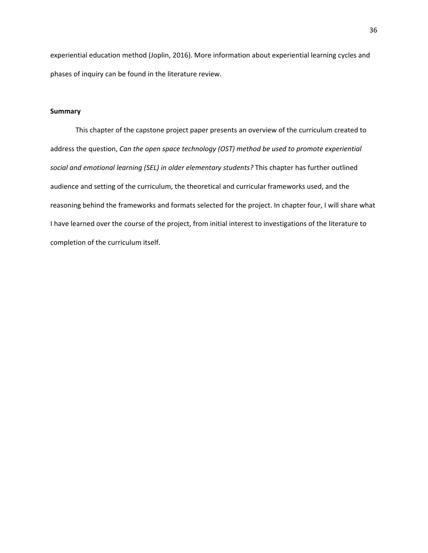experiential education method (Joplin, 2016). More information about experiential learning cycles and phases of inquiry can be found in the literature review.

# **Summary**

This chapter of the capstone project paper presents an overview of the curriculum created to address the question, *Can the open space technology (OST) method be used to promote experiential social and emotional learning (SEL) in older elementary students?* This chapter has further outlined audience and setting of the curriculum, the theoretical and curricular frameworks used, and the reasoning behind the frameworks and formats selected for the project. In chapter four, I will share what I have learned over the course of the project, from initial interest to investigations of the literature to completion of the curriculum itself.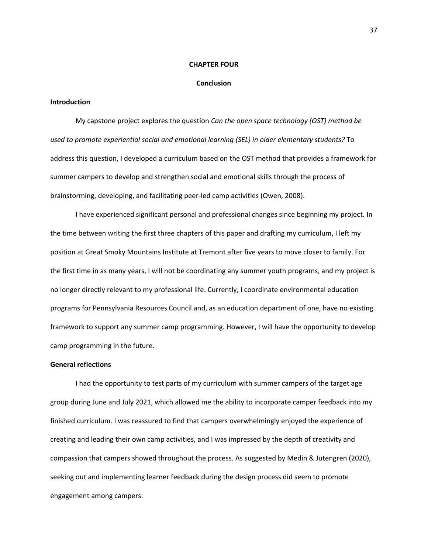#### **CHAPTER FOUR**

## **Conclusion**

# **Introduction**

My capstone project explores the question *Can the open space technology (OST) method be used to promote experiential social and emotional learning (SEL) in older elementary students?* To address this question, I developed a curriculum based on the OST method that provides a framework for summer campers to develop and strengthen social and emotional skills through the process of brainstorming, developing, and facilitating peer‐led camp activities (Owen, 2008).

I have experienced significant personal and professional changes since beginning my project. In the time between writing the first three chapters of this paper and drafting my curriculum, I left my position at Great Smoky Mountains Institute at Tremont after five years to move closer to family. For the first time in as many years, I will not be coordinating any summer youth programs, and my project is no longer directly relevant to my professional life. Currently, I coordinate environmental education programs for Pennsylvania Resources Council and, as an education department of one, have no existing framework to support any summer camp programming. However, I will have the opportunity to develop camp programming in the future.

## **General reflections**

I had the opportunity to test parts of my curriculum with summer campers of the target age group during June and July 2021, which allowed me the ability to incorporate camper feedback into my finished curriculum. I was reassured to find that campers overwhelmingly enjoyed the experience of creating and leading their own camp activities, and I was impressed by the depth of creativity and compassion that campers showed throughout the process. As suggested by Medin & Jutengren (2020), seeking out and implementing learner feedback during the design process did seem to promote engagement among campers.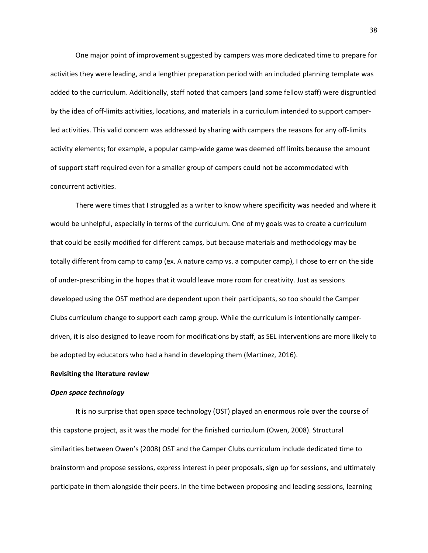One major point of improvement suggested by campers was more dedicated time to prepare for activities they were leading, and a lengthier preparation period with an included planning template was added to the curriculum. Additionally, staff noted that campers (and some fellow staff) were disgruntled by the idea of off‐limits activities, locations, and materials in a curriculum intended to support camper‐ led activities. This valid concern was addressed by sharing with campers the reasons for any off‐limits activity elements; for example, a popular camp-wide game was deemed off limits because the amount of support staff required even for a smaller group of campers could not be accommodated with concurrent activities.

There were times that I struggled as a writer to know where specificity was needed and where it would be unhelpful, especially in terms of the curriculum. One of my goals was to create a curriculum that could be easily modified for different camps, but because materials and methodology may be totally different from camp to camp (ex. A nature camp vs. a computer camp), I chose to err on the side of under‐prescribing in the hopes that it would leave more room for creativity. Just as sessions developed using the OST method are dependent upon their participants, so too should the Camper Clubs curriculum change to support each camp group. While the curriculum is intentionally camper‐ driven, it is also designed to leave room for modifications by staff, as SEL interventions are more likely to be adopted by educators who had a hand in developing them (Martínez, 2016).

#### **Revisiting the literature review**

# *Open space technology*

It is no surprise that open space technology (OST) played an enormous role over the course of this capstone project, as it was the model for the finished curriculum (Owen, 2008). Structural similarities between Owen's (2008) OST and the Camper Clubs curriculum include dedicated time to brainstorm and propose sessions, express interest in peer proposals, sign up for sessions, and ultimately participate in them alongside their peers. In the time between proposing and leading sessions, learning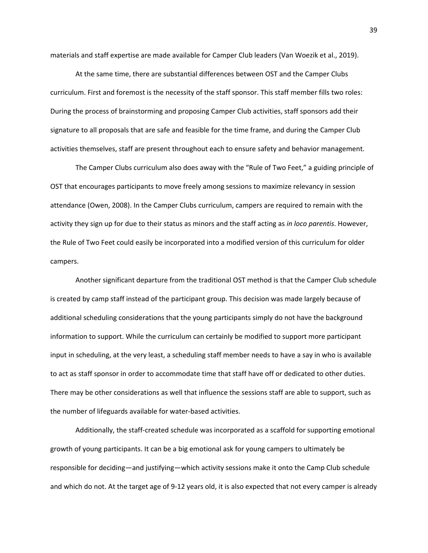materials and staff expertise are made available for Camper Club leaders (Van Woezik et al., 2019).

At the same time, there are substantial differences between OST and the Camper Clubs curriculum. First and foremost is the necessity of the staff sponsor. This staff member fills two roles: During the process of brainstorming and proposing Camper Club activities, staff sponsors add their signature to all proposals that are safe and feasible for the time frame, and during the Camper Club activities themselves, staff are present throughout each to ensure safety and behavior management.

The Camper Clubs curriculum also does away with the "Rule of Two Feet," a guiding principle of OST that encourages participants to move freely among sessions to maximize relevancy in session attendance (Owen, 2008). In the Camper Clubs curriculum, campers are required to remain with the activity they sign up for due to their status as minors and the staff acting as *in loco parentis*. However, the Rule of Two Feet could easily be incorporated into a modified version of this curriculum for older campers.

Another significant departure from the traditional OST method is that the Camper Club schedule is created by camp staff instead of the participant group. This decision was made largely because of additional scheduling considerations that the young participants simply do not have the background information to support. While the curriculum can certainly be modified to support more participant input in scheduling, at the very least, a scheduling staff member needs to have a say in who is available to act as staff sponsor in order to accommodate time that staff have off or dedicated to other duties. There may be other considerations as well that influence the sessions staff are able to support, such as the number of lifeguards available for water‐based activities.

Additionally, the staff‐created schedule was incorporated as a scaffold for supporting emotional growth of young participants. It can be a big emotional ask for young campers to ultimately be responsible for deciding—and justifying—which activity sessions make it onto the Camp Club schedule and which do not. At the target age of 9‐12 years old, it is also expected that not every camper is already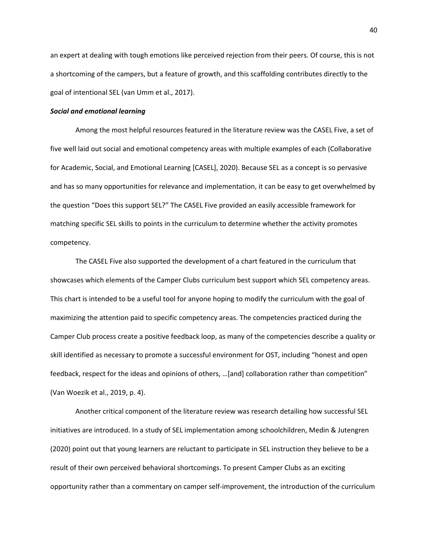an expert at dealing with tough emotions like perceived rejection from their peers. Of course, this is not a shortcoming of the campers, but a feature of growth, and this scaffolding contributes directly to the goal of intentional SEL (van Umm et al., 2017).

# *Social and emotional learning*

Among the most helpful resources featured in the literature review was the CASEL Five, a set of five well laid out social and emotional competency areas with multiple examples of each (Collaborative for Academic, Social, and Emotional Learning [CASEL], 2020). Because SEL as a concept is so pervasive and has so many opportunities for relevance and implementation, it can be easy to get overwhelmed by the question "Does this support SEL?" The CASEL Five provided an easily accessible framework for matching specific SEL skills to points in the curriculum to determine whether the activity promotes competency.

The CASEL Five also supported the development of a chart featured in the curriculum that showcases which elements of the Camper Clubs curriculum best support which SEL competency areas. This chart is intended to be a useful tool for anyone hoping to modify the curriculum with the goal of maximizing the attention paid to specific competency areas. The competencies practiced during the Camper Club process create a positive feedback loop, as many of the competencies describe a quality or skill identified as necessary to promote a successful environment for OST, including "honest and open feedback, respect for the ideas and opinions of others, …[and] collaboration rather than competition" (Van Woezik et al., 2019, p. 4).

Another critical component of the literature review was research detailing how successful SEL initiatives are introduced. In a study of SEL implementation among schoolchildren, Medin & Jutengren (2020) point out that young learners are reluctant to participate in SEL instruction they believe to be a result of their own perceived behavioral shortcomings. To present Camper Clubs as an exciting opportunity rather than a commentary on camper self‐improvement, the introduction of the curriculum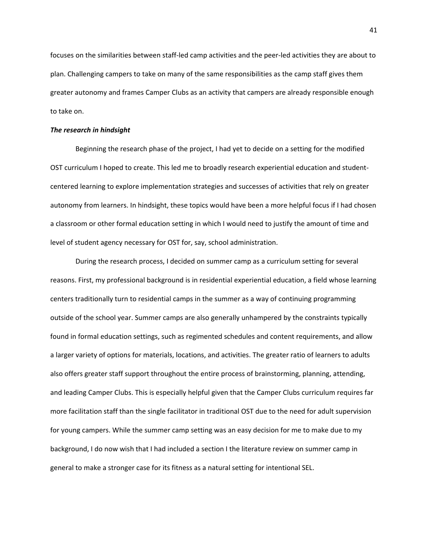focuses on the similarities between staff‐led camp activities and the peer‐led activities they are about to plan. Challenging campers to take on many of the same responsibilities as the camp staff gives them greater autonomy and frames Camper Clubs as an activity that campers are already responsible enough to take on.

# *The research in hindsight*

Beginning the research phase of the project, I had yet to decide on a setting for the modified OST curriculum I hoped to create. This led me to broadly research experiential education and student‐ centered learning to explore implementation strategies and successes of activities that rely on greater autonomy from learners. In hindsight, these topics would have been a more helpful focus if I had chosen a classroom or other formal education setting in which I would need to justify the amount of time and level of student agency necessary for OST for, say, school administration.

During the research process, I decided on summer camp as a curriculum setting for several reasons. First, my professional background is in residential experiential education, a field whose learning centers traditionally turn to residential camps in the summer as a way of continuing programming outside of the school year. Summer camps are also generally unhampered by the constraints typically found in formal education settings, such as regimented schedules and content requirements, and allow a larger variety of options for materials, locations, and activities. The greater ratio of learners to adults also offers greater staff support throughout the entire process of brainstorming, planning, attending, and leading Camper Clubs. This is especially helpful given that the Camper Clubs curriculum requires far more facilitation staff than the single facilitator in traditional OST due to the need for adult supervision for young campers. While the summer camp setting was an easy decision for me to make due to my background, I do now wish that I had included a section I the literature review on summer camp in general to make a stronger case for its fitness as a natural setting for intentional SEL.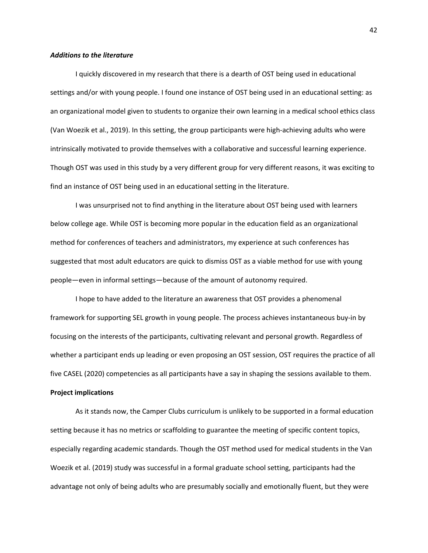# *Additions to the literature*

I quickly discovered in my research that there is a dearth of OST being used in educational settings and/or with young people. I found one instance of OST being used in an educational setting: as an organizational model given to students to organize their own learning in a medical school ethics class (Van Woezik et al., 2019). In this setting, the group participants were high‐achieving adults who were intrinsically motivated to provide themselves with a collaborative and successful learning experience. Though OST was used in this study by a very different group for very different reasons, it was exciting to find an instance of OST being used in an educational setting in the literature.

I was unsurprised not to find anything in the literature about OST being used with learners below college age. While OST is becoming more popular in the education field as an organizational method for conferences of teachers and administrators, my experience at such conferences has suggested that most adult educators are quick to dismiss OST as a viable method for use with young people—even in informal settings—because of the amount of autonomy required.

I hope to have added to the literature an awareness that OST provides a phenomenal framework for supporting SEL growth in young people. The process achieves instantaneous buy‐in by focusing on the interests of the participants, cultivating relevant and personal growth. Regardless of whether a participant ends up leading or even proposing an OST session, OST requires the practice of all five CASEL (2020) competencies as all participants have a say in shaping the sessions available to them.

# **Project implications**

As it stands now, the Camper Clubs curriculum is unlikely to be supported in a formal education setting because it has no metrics or scaffolding to guarantee the meeting of specific content topics, especially regarding academic standards. Though the OST method used for medical students in the Van Woezik et al. (2019) study was successful in a formal graduate school setting, participants had the advantage not only of being adults who are presumably socially and emotionally fluent, but they were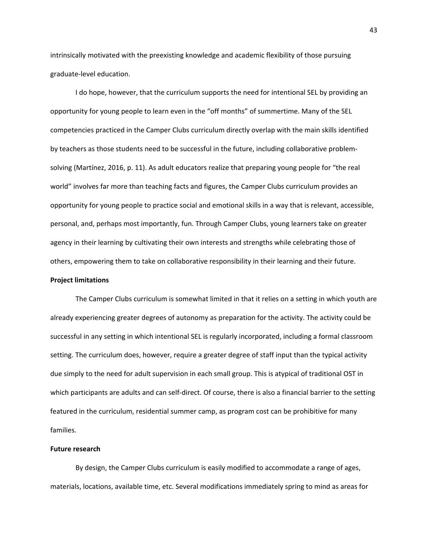intrinsically motivated with the preexisting knowledge and academic flexibility of those pursuing graduate‐level education.

I do hope, however, that the curriculum supports the need for intentional SEL by providing an opportunity for young people to learn even in the "off months" of summertime. Many of the SEL competencies practiced in the Camper Clubs curriculum directly overlap with the main skills identified by teachers as those students need to be successful in the future, including collaborative problem‐ solving (Martínez, 2016, p. 11). As adult educators realize that preparing young people for "the real world" involves far more than teaching facts and figures, the Camper Clubs curriculum provides an opportunity for young people to practice social and emotional skills in a way that is relevant, accessible, personal, and, perhaps most importantly, fun. Through Camper Clubs, young learners take on greater agency in their learning by cultivating their own interests and strengths while celebrating those of others, empowering them to take on collaborative responsibility in their learning and their future.

# **Project limitations**

The Camper Clubs curriculum is somewhat limited in that it relies on a setting in which youth are already experiencing greater degrees of autonomy as preparation for the activity. The activity could be successful in any setting in which intentional SEL is regularly incorporated, including a formal classroom setting. The curriculum does, however, require a greater degree of staff input than the typical activity due simply to the need for adult supervision in each small group. This is atypical of traditional OST in which participants are adults and can self-direct. Of course, there is also a financial barrier to the setting featured in the curriculum, residential summer camp, as program cost can be prohibitive for many families.

# **Future research**

By design, the Camper Clubs curriculum is easily modified to accommodate a range of ages, materials, locations, available time, etc. Several modifications immediately spring to mind as areas for

43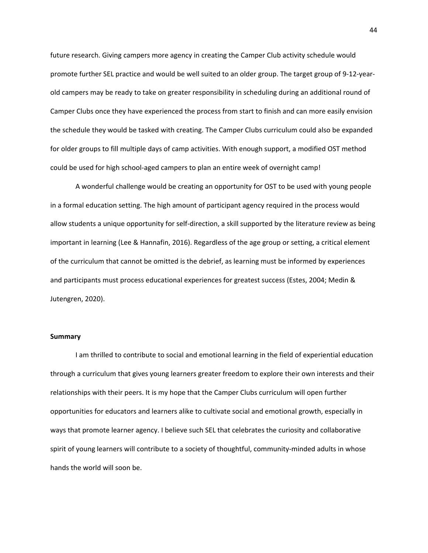future research. Giving campers more agency in creating the Camper Club activity schedule would promote further SEL practice and would be well suited to an older group. The target group of 9‐12‐year‐ old campers may be ready to take on greater responsibility in scheduling during an additional round of Camper Clubs once they have experienced the process from start to finish and can more easily envision the schedule they would be tasked with creating. The Camper Clubs curriculum could also be expanded for older groups to fill multiple days of camp activities. With enough support, a modified OST method could be used for high school‐aged campers to plan an entire week of overnight camp!

A wonderful challenge would be creating an opportunity for OST to be used with young people in a formal education setting. The high amount of participant agency required in the process would allow students a unique opportunity for self-direction, a skill supported by the literature review as being important in learning (Lee & Hannafin, 2016). Regardless of the age group or setting, a critical element of the curriculum that cannot be omitted is the debrief, as learning must be informed by experiences and participants must process educational experiences for greatest success (Estes, 2004; Medin & Jutengren, 2020).

### **Summary**

I am thrilled to contribute to social and emotional learning in the field of experiential education through a curriculum that gives young learners greater freedom to explore their own interests and their relationships with their peers. It is my hope that the Camper Clubs curriculum will open further opportunities for educators and learners alike to cultivate social and emotional growth, especially in ways that promote learner agency. I believe such SEL that celebrates the curiosity and collaborative spirit of young learners will contribute to a society of thoughtful, community-minded adults in whose hands the world will soon be.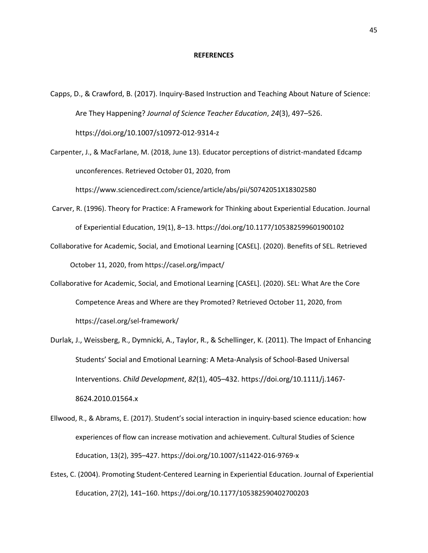#### **REFERENCES**

Capps, D., & Crawford, B. (2017). Inquiry‐Based Instruction and Teaching About Nature of Science: Are They Happening? *Journal of Science Teacher Education*, *24*(3), 497–526. https://doi.org/10.1007/s10972‐012‐9314‐z

Carpenter, J., & MacFarlane, M. (2018, June 13). Educator perceptions of district‐mandated Edcamp unconferences. Retrieved October 01, 2020, from https://www.sciencedirect.com/science/article/abs/pii/S0742051X18302580

- Carver, R. (1996). Theory for Practice: A Framework for Thinking about Experiential Education. Journal of Experiential Education, 19(1), 8–13. https://doi.org/10.1177/105382599601900102
- Collaborative for Academic, Social, and Emotional Learning [CASEL]. (2020). Benefits of SEL. Retrieved October 11, 2020, from https://casel.org/impact/
- Collaborative for Academic, Social, and Emotional Learning [CASEL]. (2020). SEL: What Are the Core Competence Areas and Where are they Promoted? Retrieved October 11, 2020, from https://casel.org/sel‐framework/
- Durlak, J., Weissberg, R., Dymnicki, A., Taylor, R., & Schellinger, K. (2011). The Impact of Enhancing Students' Social and Emotional Learning: A Meta‐Analysis of School‐Based Universal Interventions. *Child Development*, *82*(1), 405–432. https://doi.org/10.1111/j.1467‐ 8624.2010.01564.x
- Ellwood, R., & Abrams, E. (2017). Student's social interaction in inquiry‐based science education: how experiences of flow can increase motivation and achievement. Cultural Studies of Science Education, 13(2), 395–427. https://doi.org/10.1007/s11422‐016‐9769‐x
- Estes, C. (2004). Promoting Student‐Centered Learning in Experiential Education. Journal of Experiential Education, 27(2), 141–160. https://doi.org/10.1177/105382590402700203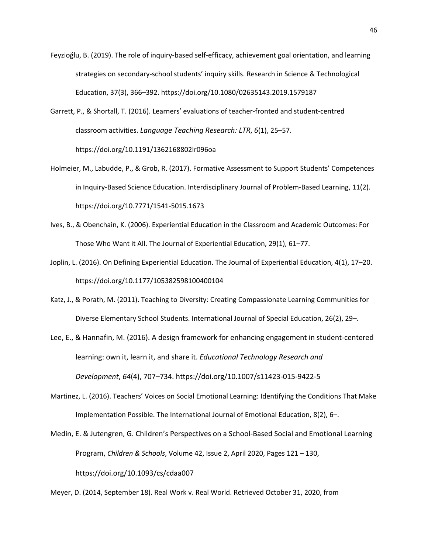- Feyzioğlu, B. (2019). The role of inquiry‐based self‐efficacy, achievement goal orientation, and learning strategies on secondary‐school students' inquiry skills. Research in Science & Technological Education, 37(3), 366–392. https://doi.org/10.1080/02635143.2019.1579187
- Garrett, P., & Shortall, T. (2016). Learners' evaluations of teacher‐fronted and student‐centred classroom activities. *Language Teaching Research: LTR*, *6*(1), 25–57. https://doi.org/10.1191/1362168802lr096oa
- Holmeier, M., Labudde, P., & Grob, R. (2017). Formative Assessment to Support Students' Competences in Inquiry‐Based Science Education. Interdisciplinary Journal of Problem‐Based Learning, 11(2). https://doi.org/10.7771/1541‐5015.1673
- Ives, B., & Obenchain, K. (2006). Experiential Education in the Classroom and Academic Outcomes: For Those Who Want it All. The Journal of Experiential Education, 29(1), 61–77.
- Joplin, L. (2016). On Defining Experiential Education. The Journal of Experiential Education, 4(1), 17–20. https://doi.org/10.1177/105382598100400104
- Katz, J., & Porath, M. (2011). Teaching to Diversity: Creating Compassionate Learning Communities for Diverse Elementary School Students. International Journal of Special Education, 26(2), 29–.
- Lee, E., & Hannafin, M. (2016). A design framework for enhancing engagement in student‐centered learning: own it, learn it, and share it. *Educational Technology Research and Development*, *64*(4), 707–734. https://doi.org/10.1007/s11423‐015‐9422‐5
- Martinez, L. (2016). Teachers' Voices on Social Emotional Learning: Identifying the Conditions That Make Implementation Possible. The International Journal of Emotional Education, 8(2), 6–.

Medin, E. & Jutengren, G. Children's Perspectives on a School‐Based Social and Emotional Learning Program, *Children & Schools*, Volume 42, Issue 2, April 2020, Pages 121 – 130, https://doi.org/10.1093/cs/cdaa007

Meyer, D. (2014, September 18). Real Work v. Real World. Retrieved October 31, 2020, from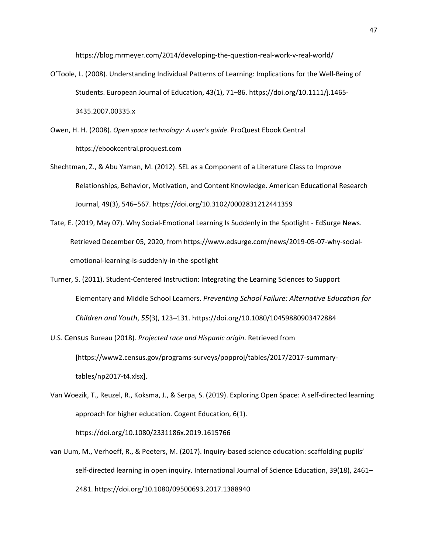https://blog.mrmeyer.com/2014/developing‐the‐question‐real‐work‐v‐real‐world/

- O'Toole, L. (2008). Understanding Individual Patterns of Learning: Implications for the Well‐Being of Students. European Journal of Education, 43(1), 71–86. https://doi.org/10.1111/j.1465‐ 3435.2007.00335.x
- Owen, H. H. (2008). *Open space technology: A user's guide*. ProQuest Ebook Central https://ebookcentral.proquest.com
- Shechtman, Z., & Abu Yaman, M. (2012). SEL as a Component of a Literature Class to Improve Relationships, Behavior, Motivation, and Content Knowledge. American Educational Research Journal, 49(3), 546–567. https://doi.org/10.3102/0002831212441359
- Tate, E. (2019, May 07). Why Social‐Emotional Learning Is Suddenly in the Spotlight ‐ EdSurge News. Retrieved December 05, 2020, from https://www.edsurge.com/news/2019‐05‐07‐why‐social‐ emotional‐learning‐is‐suddenly‐in‐the‐spotlight
- Turner, S. (2011). Student‐Centered Instruction: Integrating the Learning Sciences to Support Elementary and Middle School Learners. *Preventing School Failure: Alternative Education for Children and Youth*, *55*(3), 123–131. https://doi.org/10.1080/10459880903472884
- U.S. Census Bureau (2018). *Projected race and Hispanic origin*. Retrieved from [https://www2.census.gov/programs‐surveys/popproj/tables/2017/2017‐summary‐ tables/np2017‐t4.xlsx].
- Van Woezik, T., Reuzel, R., Koksma, J., & Serpa, S. (2019). Exploring Open Space: A self‐directed learning approach for higher education. Cogent Education, 6(1). https://doi.org/10.1080/2331186x.2019.1615766
- van Uum, M., Verhoeff, R., & Peeters, M. (2017). Inquiry‐based science education: scaffolding pupils' self-directed learning in open inquiry. International Journal of Science Education, 39(18), 2461– 2481. https://doi.org/10.1080/09500693.2017.1388940